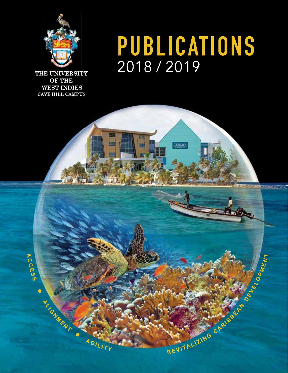

THE UNIVERSITY **OF THE WEST INDIES CAVE HILL CAMPUS** 

# PUBLICATIONS<br>2018/2019

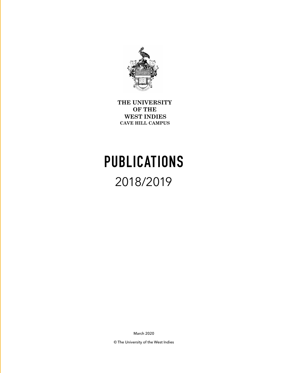

**THE UNIVERSITY OF THE WEST INDIES CAVE HILL CAMPUS** 

# **PUBLICATIONS** 2018/2019

March 2020

© The University of the West Indies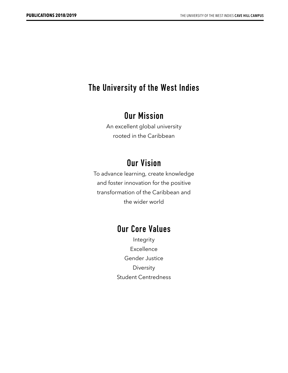#### **The University of the West Indies**

#### **Our Mission**

An excellent global university rooted in the Caribbean

#### **Our Vision**

To advance learning, create knowledge and foster innovation for the positive transformation of the Caribbean and the wider world

#### **Our Core Values**

Integrity Excellence Gender Justice Diversity Student Centredness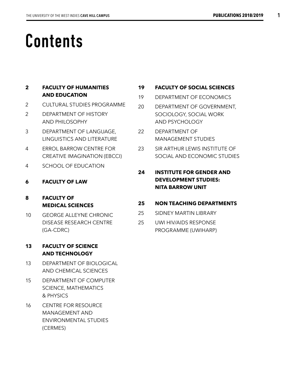# **Contents**

#### **2 FACULTY OF HUMANITIES AND EDUCATION**

- 2 CULTURAL STUDIES PROGRAMME
- 2 DEPARTMENT OF HISTORY AND PHILOSOPHY
- 3 DEPARTMENT OF LANGUAGE, LINGUISTICS AND LITERATURE
- 4 ERROL BARROW CENTRE FOR CREATIVE IMAGINATION (EBCCI)
- 4 SCHOOL OF EDUCATION
- **6 FACULTY OF LAW**

#### **8 FACULTY OF MEDICAL SCIENCES**

10 GEORGE ALLEYNE CHRONIC DISEASE RESEARCH CENTRE (GA-CDRC)

#### **13 FACULTY OF SCIENCE AND TECHNOLOGY**

- 13 DEPARTMENT OF BIOLOGICAL AND CHEMICAL SCIENCES
- 15 DEPARTMENT OF COMPUTER SCIENCE, MATHEMATICS & PHYSICS
- 16 CENTRE FOR RESOURCE MANAGEMENT AND ENVIRONMENTAL STUDIES (CERMES)

#### **19 FACULTY OF SOCIAL SCIENCES**

- 19 DEPARTMENT OF ECONOMICS
- 20 DEPARTMENT OF GOVERNMENT, SOCIOLOGY, SOCIAL WORK AND PSYCHOLOGY
- 22 DEPARTMENT OF MANAGEMENT STUDIES
- 23 SIR ARTHUR LEWIS INSTITUTE OF SOCIAL AND ECONOMIC STUDIES
- **24 INSTITUTE FOR GENDER AND DEVELOPMENT STUDIES: NITA BARROW UNIT**

#### **25 NON TEACHING DEPARTMENTS**

- 25 SIDNEY MARTIN LIBRARY
- 25 UWI HIV/AIDS RESPONSE PROGRAMME (UWIHARP)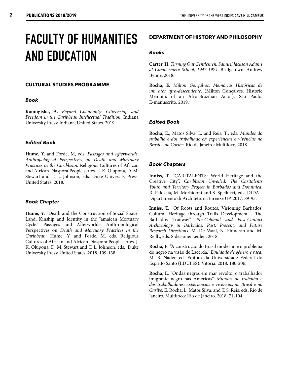### **FACULTY OF HUMANITIES AND EDUCATION**

#### **CULTURAL STUDIES PROGRAMME**

#### *Book*

**Kamugisha, A.** *Beyond Coloniality: Citizenship and Freedom in the Caribbean Intellectual Tradition.* Indiana University Press: Indiana, United States. 2019.

#### *Edited Book*

**Hume, Y.** and Forde, M, eds. *Passages and Afterworlds: Anthropological Perspectives on Death and Mortuary Practices in the Caribbean.* Religious Cultures of African and African Diaspora People series. J. K. Olupona, D. M. Stewart and T. L. Johnson, eds. Duke University Press: United States. 2018.

#### *Book Chapter*

**Hume, Y.** "Death and the Construction of Social Space: Land, Kinship and Identity in the Jamaican Mortuary Cycle." Passages and Afterworlds: Anthropological Perspectives on *Death and Mortuary Practices in the Caribbean.* Hume, Y. and Forde, M. eds. Religious Cultures of African and African Diaspora People series. J. K. Olupona, D. M. Stewart and T. L. Johnson, eds. Duke University Press: United States. 2018. 109-138.

#### **DEPARTMENT OF HISTORY AND PHILOSOPHY**

#### *Books*

**Carter, H.** *Turning Out Gentlemen: Samuel Jackson Adams at Combermere School, 1947-1974.* Bridgetown. Andrew Bynoe, 2018.

**Rocha, E.** *Milton Gonçalves. Memórias Históricas de um ator afro-descendente.* (Milton Gonçalves. Historic Memoirs of an Afro-Brazilian Actor). São Paulo. E-manuscrito, 2019.

#### *Edited Book*

**Rocha, E.,** Matos Silva, L. and Reis, T., eds. *Mundos do trabalho e dos trabalhadores: experiências e vivências no Brasil e no Caribe*. Rio de Janeiro: Multifoco, 2018.

#### *Book Chapters*

**Inniss, T.** "CARITALENTS: World Heritage and the Creative City". *Caribbean Unveiled: The Caritalents Youth and Territory Project in Barbados and Dominica*. R. Paloscia, M. Morbidoni and S. Spellucci, eds. DIDA - Dipartimento di Architettura: Firenze UP. 2017. 89-93.

**Inniss, T.** "Of Roots and Routes: Visioning Barbados' Cultural Heritage through Trails Development - The Barbados Trailway". *Pre-Colonial and Post-Contact Archaeology in Barbados: Past, Present, and Future Research Directions*. M. De Waal, N. Finneran and M. Reilly, eds. Sidestone: Leiden. 2018.

**Rocha, E.** "A construção do Brasil moderno e o problema do negro na visão de Lacerda." *Equidade de gênero e raça*. M. B. Nader, ed. Editora da Universidade Federal do Espirito Santo (EDUFES): Vitória. 2018. 180-206.

**Rocha, E**. "Ondas negras em mar revolto: o trabalhador imigrante negro nas Américas". *Mundos do trabalho e dos trabalhadores: experiências e vivências no Brasil e no Caribe.* E. Rocha, L. Matos Silva, and T. S. Reis, eds. Rio de Janeiro, Multifoco: Rio de Janeiro. 2018. 71-104.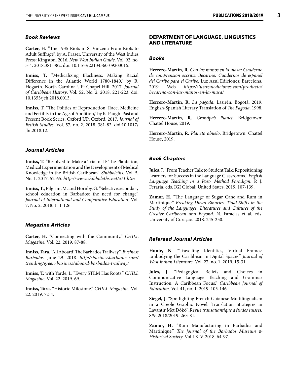#### *Book Reviews*

**Carter, H.** "The 1935 Riots in St Vincent: From Riots to Adult Suffrage", by A. Fraser. University of the West Indies Press: Kingston. 2016. *New West Indian Guide*. Vol. 92, no. 3-4. 2018.381-382. doi: 10.1163/22134360-09203015.

**Inniss, T.** "Medicalizing Blackness: Making Racial Difference in the Atlantic World 1780-1840," by R. Hogarth. North Carolina UP: Chapel Hill. 2017. *Journal of Caribbean History*. Vol. 52, No. 2. 2018. 221-223. doi: 10.1353/jch.2018.0013.

**Inniss, T.** "The Politics of Reproduction: Race, Medicine and Fertility in the Age of Abolition," by K. Paugh. Past and Present Book Series. Oxford UP: Oxford. 2017. *Journal of British Studies*. Vol. 57, no. 2. 2018. 381-82. doi:10.1017/ jbr.2018.12.

#### *Journal Articles*

**Inniss, T.** "Resolved to Make a Trial of It: The Plantation, Medical Experimentation and the Development of Medical Knowledge in the British Caribbean". *Shibboleths*. Vol. 5, No. 1. 2017. 52-65. *http://www.shibboleths.net/5/1.htm*

**Inniss, T.**, Pilgrim, M. and Hornby, G. "Selective secondary school education in Barbados: the need for change". *Journal of International and Comparative Education.* Vol. 7, No. 2. 2018. 111-126.

#### *Magazine Articles*

**Carter, H.** "Connecting with the Community." *CHILL Magazine*. Vol. 22. 2019. 87-88.

**Inniss, Tara.** "All Aboard! The Barbados Trailway"*. Business Barbados.* June 29. 2018. *http://businessbarbados.com/ trending/green-business/aboard-barbados-trailway/*

**Inniss, T.** with Yarde, L. "Every STEM Has Roots." *CHILL Magazine.* Vol. 22. 2019. 69.

**Inniss, Tara.** "Historic Milestone." *CHILL Magazine.* Vol. 22. 2019. 72-4.

#### **DEPARTMENT OF LANGUAGE, LINGUISTICS AND LITERATURE**

#### *Books*

**Herrero-Martín, R.** *Con las manos en la masa: Cuaderno de comprensión escrita. Becariño: Cuadernos de español del Caribe para el Caribe.* Luz Azul Ediciones: Barcelona. 2019. Web. *https://luzazulediciones.com/producto/ becarino-con-las-manos-en-la-masa/*

**Herrero-Martín, R.** *La pagoda*. Lasirén: Bogotá, 2019. English-Spanish Literary Translation of *The Pagoda*. 1998.

**Herrero-Martín, R.** *Grandpa's Planet*. Bridgetown: Chattel House, 2019.

**Herrero-Martín, R.** *Planeta abuelo*. Bridgetown: Chattel House, 2019.

#### *Book Chapters*

**Jules, J.** "From Teacher Talk to Student Talk: Repositioning Learners for Success in the Language Classrooms." *English Language Teaching in a Post- Method Paradigm*. P. J. Feraria, eds. IGI Global: United States. 2019. 107-139.

**Zamor, H.** "The Language of Sugar Cane and Rum in Martinique." *Breaking Down Binaries. Tidal Shifts in the Study of the Languages, Literatures and Cultures of the Greater Caribbean and Beyond.* N. Faraclas et al, eds. University of Curaçao. 2018. 245-250.

#### *Refereed Journal Articles*

**Hunte, N**. "Travelling Identities, Virtual Frames: Embodying the Caribbean in Digital Spaces." *Journal of West Indian Literature.* Vol. 27, no. 1. 2019. 15-31.

**Jules, J**. "Pedagogical Beliefs and Choices in Communicative Language Teaching and Grammar Instruction: A Caribbean Focus." *Caribbean Journal of Education*. Vol. 41, no. 1. 2019. 105-146.

**Siegel, J.** "Spotlighting French Guianese Multilingualism in a Creole Graphic Novel: Translation Strategies in Lavantir Mèt Dòkò". *Revue transatlantique d'études suisses.* 8/9. 2018/2019. 263-81.

**Zamor, H.** "Rum Manufacturing in Barbados and Martinique." *The Journal of the Barbados Museum & Historical Society.* Vol LXIV. 2018. 64-97.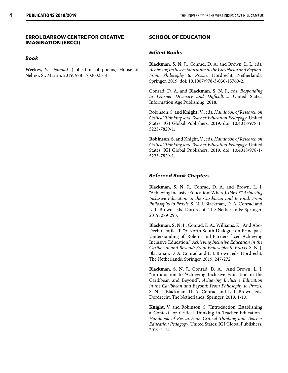#### **ERROL BARROW CENTRE FOR CREATIVE IMAGINATION (EBCCI)**

#### *Book*

**Weekes, Y.** *Nomad.* (collection of poems) House of Nehesi: St. Martin. 2019. 978-1733633314.

#### **SCHOOL OF EDUCATION**

#### *Edited Books*

**Blackman, S. N. J.,** Conrad, D. A. and Brown, L. I., eds. *Achieving Inclusive Education in the Caribbean and Beyond: From Philosophy to Praxis*. Dordrecht, Netherlands: Springer. 2019. doi: 10.1007/978-3-030-15769-2.

Conrad, D. A. and **Blackman, S. N. J.**, eds. *Responding to Learner Diversity and Difficulties*. United States: Information Age Publishing. 2018.

Robinson, S. and **Knight, V.**, eds. *Handbook of Research on Critical Thinking and Teacher Education Pedagogy*. United States: IGI Global Publishers. 2019. doi: 10.4018/978-1- 5225-7829-1.

**Robinson, S.** and Knight, V., eds. *Handbook of Research on Critical Thinking and Teacher Education Pedagogy*. United States: IGI Global Publishers. 2019. doi: 10.4018/978-1- 5225-7829-1.

#### *Refereed Book Chapters*

**Blackman, S. N. J**., Conrad, D. A. and Brown, L. I. "Achieving Inclusive Education: Where to Next?" *Achieving Inclusive Education in the Caribbean and Beyond: From Philosophy to Praxis.* S. N. J. Blackman, D. A. Conrad and L. I. Brown, eds. Dordrecht, The Netherlands: Springer. 2019. 289-293.

**Blackman, S. N. J**., Conrad, D.A., Williams, K. And Abo-Deeb Gentile, T. "A North South Dialogue on Principals' Understanding of, Role in and Barriers faced Achieving Inclusive Education." *Achieving Inclusive Education in the Caribbean and Beyond: From Philosophy to Praxis.* S. N. J. Blackman, D. A. Conrad and L. I. Brown, eds. Dordrecht, The Netherlands: Springer. 2019. 247-272.

**Blackman, S. N. J**., Conrad, D. A. And Brown, L. I. "Introduction to 'Achieving Inclusive Education in the Caribbean and Beyond'". *Achieving Inclusive Education in the Caribbean and Beyond: From Philosophy to Praxis.*  S. N. J. Blackman, D. A. Conrad and L. I. Brown, eds. Dordrecht, The Netherlands: Springer. 2019. 1-13.

**Knight, V.** and Robinson, S. "Introduction: Establishing a Context for Critical Thinking in Teacher Education." *Handbook of Research on Critical Thinking and Teacher Education Pedagogy.* United States: IGI Global Publishers. 2019. 1-14.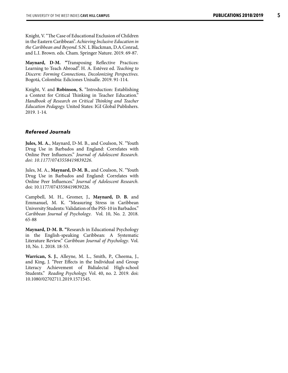**5**

Knight, V. "The Case of Educational Exclusion of Children in the Eastern Caribbean". *Achieving Inclusive Education in the Caribbean and Beyond.* S.N. L Blackman, D.A.Conrad, and L.I. Brown. eds. Cham. Springer Nature. 2019. 69-87.

**Maynard, D-M. "**Transposing Reflective Practices: Learning to Teach Abroad". H. A. Estévez ed. *Teaching to Discern: Forming Connections, Decolonizing Perspectives*. Bogotá, Colombia: Ediciones Unisalle. 2019. 91-114.

Knight, V. and **Robinson, S.** "Introduction: Establishing a Context for Critical Thinking in Teacher Education." *Handbook of Research on Critical Thinking and Teacher Education Pedagogy.* United States: IGI Global Publishers. 2019. 1-14.

#### *Refereed Journals*

**Jules, M. A.**, Maynard, D-M. B., and Coulson, N. "Youth Drug Use in Barbados and England: Correlates with Online Peer Influences." *Journal of Adolescent Research. doi: 10.1177/0743558419839226.*

Jules, M. A., **Maynard, D-M. B.**, and Coulson, N. "Youth Drug Use in Barbados and England: Correlates with Online Peer Influences." *Journal of Adolescent Research.* doi: 10.1177/0743558419839226 *.*

Campbell, M. H., Gromer, J., **Maynard, D. B.** and Emmanuel, M. K. "Measuring Stress in Caribbean University Students: Validation of the PSS-10 in Barbados." *Caribbean Journal of Psychology*. Vol. 10, No. 2. 2018. 65-88

**Maynard, D-M. B. "**Research in Educational Psychology in the English-speaking Caribbean: A Systematic Literature Review." *Caribbean Journal of Psychology*. Vol. 10, No. 1. 2018. 18-53.

**Warrican, S. J.**, Alleyne, M. L., Smith, P., Cheema, J., and King, J. "Peer Effects in the Individual and Group Literacy Achievement of Bidialectal High-school Students." *Reading Psychology.* Vol. 40, no. 2. 2019. doi: 10.1080/02702711.2019.1571545.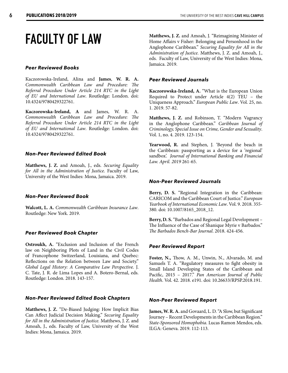### **FACULTY OF LAW**

#### *Peer Reviewed Books*

Kaczorowska-Ireland, Alina and **James**, **W. R. A.** *Commonwealth Caribbean Law and Procedure: The Referral Procedure Under Article 214 RTC in the Light of EU and International Law*. Routledge: London. doi: 10.4324/9780429322761.

**Kaczorowska-Ireland, A** and James, W. R. A. *Commonwealth Caribbean Law and Procedure: The Referral Procedure Under Article 214 RTC in the Light of EU and International Law*. Routledge: London. doi: 10.4324/9780429322761.

#### *Non-Peer Reviewed Edited Book*

**Matthews, J. Z.** and Amoah, J., eds. *Securing Equality for All in the Administration of Justice.* Faculty of Law, University of the West Indies: Mona, Jamaica. 2019.

#### *Non-Peer Reviewed Book*

**Walcott, L. A.** *Commonwealth Caribbean Insurance Law*. Routledge: New York. 2019.

#### *Peer Reviewed Book Chapter*

**Ostroukh, A.** "Exclusion and Inclusion of the French law on Neighboring Plots of Land in the Civil Codes of Francophone Switzerland, Louisiana, and Quebec: Reflections on the Relation between Law and Society." *Global Legal History: A Comparative Law Perspective.* J. C. Tate, J. R. de Lima Lopes and A. Botero-Bernal, eds. Routledge: London. 2018. 143-157.

#### *Non-Peer Reviewed Edited Book Chapters*

**Matthews, J. Z.** "De-Biased Judging: How Implicit Bias Can Affect Judicial Decision Making." *Securing Equality for All in the Administration of Justice.* Matthews, J. Z. and Amoah, J., eds. Faculty of Law, University of the West Indies: Mona, Jamaica. 2019.

**Matthews, J. Z.** and Amoah, J. "Reimagining Minister of Home Affairs v Fisher: Belonging and Personhood in the Anglophone Caribbean." *Securing Equality for All in the Administration of Justice.* Matthews, J. Z. and Amoah, J., eds. Faculty of Law, University of the West Indies: Mona, Jamaica. 2019.

#### *Peer Reviewed Journals*

**Kaczorowska-Ireland, A.** "What is the European Union Required to Protect under Article 4(2) TEU – the Uniqueness Approach." *European Public Law*. Vol. 25, no. 1. 2019. 57-82.

**Matthews, J. Z.** and Robinson, T. "Modern Vagrancy in the Anglophone Caribbean." *Caribbean Journal of Criminology, Special Issue on Crime, Gender and Sexuality*. Vol. 1, no. 4. 2019. 123-154.

**Yearwood, R.** and Stephen, J. 'Beyond the beach in the Caribbean: passporting as a device for a 'regional' sandbox'. *Journal of International Banking and Financial Law. April. 2019* 261-65.

#### *Non-Peer Reviewed Journals*

**Berry, D. S.** "Regional Integration in the Caribbean: CARICOM and the Caribbean Court of Justice." *European Yearbook of International Economic Law*. Vol. 9. 2018. 355- 380. doi: 10.1007/8165\_2018\_12.

**Berry, D. S.** "Barbados and Regional Legal Development – The Influence of the Case of Shanique Myrie v Barbados." *The Barbados Bench-Bar Journal*. 2018. 424-456.

#### *Peer Reviewed Report*

**Foster, N.,** Thow, A. M., Unwin, N., Alvarado, M. and Samuels T. A. "Regulatory measures to fight obesity in Small Island Developing States of the Caribbean and Pacific, 2015 – 2017." *Pan American Journal of Public Health*. Vol. 42. 2018. e191. doi: 10.26633/RPSP.2018.191.

#### *Non-Peer Reviewed Report*

**James, W. R. A.** and Govaard, L. D. "A Slow, but Significant Journey – Recent Developments in the Caribbean Region." *State-Sponsored Homophobia*. Lucas Ramon Mendos, eds. ILGA: Geneva. 2019. 112-113.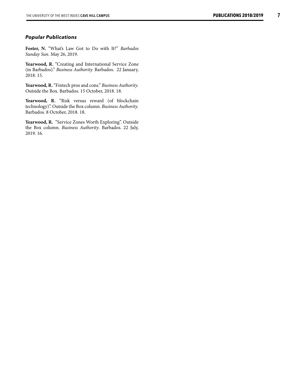#### *Popular Publications*

**Foster, N.** "What's Law Got to Do with It?" *Barbados Sunday Sun.* May 26, 2019.

Yearwood, R. "Creating and International Service Zone (in Barbados)." *Business Authority.* Barbados. 22 January, 2018. 15.

**Yearwood, R.** "Fintech pros and cons." *Business Authority*. Outside the Box. Barbados. 15 October, 2018. 18.

**Yearwood, R.** "Risk versus reward (of blockchain technology)". Outside the Box column. *Business Authority*. Barbados. 8 October, 2018. 18.

Yearwood, R. "Service Zones Worth Exploring". Outside the Box column. *Business Authority*. Barbados. 22 July, 2019. 16.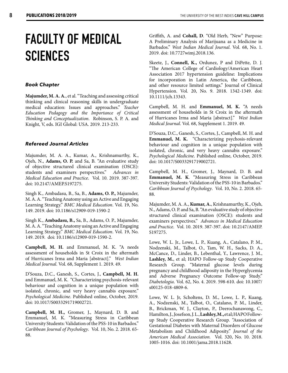# **FACULTY OF MEDICAL SCIENCES**

#### *Book Chapter*

**Majumder, M. A. A.**, et al. "Teaching and assessing critical thinking and clinical reasoning skills in undergraduate medical education: Issues and approaches." *Teacher Education Pedagogy and the Importance of Critical Thinking and Conceptualization*. Robinson, S. P. A. and Knight, V, eds. IGI Global: USA. 2019. 213-233.

#### *Refereed Journal Articles*

Majumder, M. A. A., Kumar, A., Krishnamurthy, K., Ojeh, N., **Adams, O. P.** and Sa, B. "An evaluative study of objective structured clinical examination (OSCE):<br>students and examiners perspectives." Advances in students and examiners perspectives." *Medical Education and Practice*. Vol. 10. 2019. 387-397. doi: 10.2147/AMEP.S197275.

Singh K., Ambadasu, B., Sa, B., **Adams, O. P.,** Majumder, M. A. A. "Teaching Anatomy using an Active and Engaging Learning Strategy." *BMC Medical Education*. Vol. 19, No. 149. 2019. doi: 10.1186/s12909-019-1590-2

Singh K., **Ambadasu, B.,** Sa, B., Adams, O. P., Majumder, M. A. A. "Teaching Anatomy using an Active and Engaging Learning Strategy." *BMC Medical Education*. Vol. 19, No. 149. 2019. doi: 10.1186/s12909-019-1590-2.

**Campbell, M. H.** and Emmanuel, M. K. "A needs assessment of households in St Croix in the aftermath of Hurricanes Irma and Maria [abstract]." *West Indian Medical Journal*. Vol. 68, Supplement 1. 2019. 49.

D'Souza, D.C., Ganesh, S., Cortes, J., **Campbell, M. H.** and Emmanuel, M. K. "Characterizing psychosis-relevant behaviour and cognition in a unique population with isolated, chronic, and very heavy cannabis exposure." *Psychological Medicine*. Published online, October, 2019. doi: 10.1017/S0033291719002721.

**Campbell, M. H.,** Gromer, J., Maynard, D. B. and Emmanuel, M. K. "Measuring Stress in Caribbean University Students: Validation of the PSS-10 in Barbados." *Caribbean Journal of Psychology*. Vol. 10, No. 2. 2018. 65- 88.

Griffith, A. and **Cohall, D**. "Old Herb, "New" Purpose: A Preliminary Analysis of Marijuana as a Medicine in Barbados." *West Indian Medical Journal*. Vol. 68, No. 1. 2019. doi: 10.7727wimj.2018.136.

Skeete, J., **Connell, K.,** Ordunez, P and DiPette, D. J. "The American College of Cardiology/American Heart Association 2017 hypertension guideline: Implications for incorporation in Latin America, the Caribbean, and other resource limited settings." Journal of Clinical Hypertension. Vol. 20, No. 9. 2018. 1342-1349. doi: 10.1111/jch.13343.

Campbell, M. H. and **Emmanuel, M. K.** "A needs assessment of households in St Croix in the aftermath of Hurricanes Irma and Maria [abstract]." *West Indian Medical Journal*. Vol. 68, Supplement 1. 2019. 49.

D'Souza, D.C., Ganesh, S., Cortes, J., Campbell, M. H. and **Emmanuel, M. K.** "Characterizing psychosis-relevant behaviour and cognition in a unique population with isolated, chronic, and very heavy cannabis exposure." *Psychological Medicine*. Published online, October, 2019. doi: 10.1017/S0033291719002721.

Campbell, M. H., Gromer, J., Maynard, D. B. and **Emmanuel, M. K**. "Measuring Stress in Caribbean University Students: Validation of the PSS-10 in Barbados." *Caribbean Journal of Psychology*. Vol. 10, No. 2. 2018. 65- 88.

Majumder, M. A. A., **Kumar, A.**, Krishnamurthy, K., Ojeh, N., Adams, O. P. and Sa, B. "An evaluative study of objective structured clinical examination (OSCE): students and examiners perspectives." *Advances in Medical Education and Practice*. Vol. 10. 2019. 387-397. doi: 10.2147/AMEP. S197275.

Lowe, W. L. Jr., Lowe, L. P., Kuang, A., Catalano, P. M., Nodzenski, M., Talbot, O., Tam, W. H., Sacks, D. A., McCance, D., Linder, B., Lebenthal, Y., Lawrence, J. M., **Lashley, M.**, et al; HAPO Follow-up Study Cooperative Research Group. "Maternal glucose levels during pregnancy and childhood adiposity in the Hyperglycemia and Adverse Pregnancy Outcome Follow-up Study." *Diabetologia*. Vol. 62, No. 4. 2019. 598-610. doi: 10.1007/ s00125-018-4809-6.

Lowe, W. L. Jr, Scholtens, D. M., Lowe, L. P., Kuang, A., Nodzenski, M., Talbot, O., Catalano, P. M., Linder, B., Brickman, W. J., Clayton, P., Deerochanawong, C., Hamilton, J., Josefson, J. L., **Lashley, M.,** et al; HAPO Followup Study Cooperative Research Group. "Association of Gestational Diabetes with Maternal Disorders of Glucose Metabolism and Childhood Adiposity." *Journal of the American Medical Association.*  Vol. 320, No. 10. 2018. 1005-1016. doi: 10.1001/jama.2018.11628.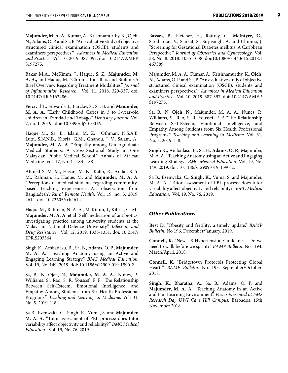**Majumder, M. A. A.**, Kumar, A., Krishnamurthy, K., Ojeh, N., Adams, O. P. and Sa, B. "An evaluative study of objective structured clinical examination (OSCE): students and examiners perspectives." *Advances in Medical Education and Practice*. Vol. 10. 2019. 387-397. doi: 10.2147/AMEP. S197275.

Bakar M.A., McKimm, J., Haque, S. Z., **Majumder, M. A. A.,** and Haque, M. "Chronic Tonsillitis and Biofilm: A Brief Overview Regarding Treatment Modalities." *Journal of Inflammation Research*. Vol. 11. 2018. 329-337. doi: 10.2147/JIR.S162486.

Percival T., Edwards, J., Barclay, S., Sa, B. and **Majumder, M. A. A.** "Early Childhood Caries in 3 to 5-year-old children in Trinidad and Tobago." *Dentistry Journal*. Vol. 7, no. 1. 2019. doi: 10.3390/dj7010016.

Haque M., Sa, B., Islam, M. Z. Othman, N.S.A.B. Lutfi, S.N.N.B., Kibria, G.M., Gnanou, J. V., Salam, A., **Majumder, M. A. A**. "Empathy among Undergraduate Medical Students: A Cross-Sectional Study in One Malaysian Public Medical School." Annals of African Medicine. Vol. 17, No. 4. 183 -188.

Ahmed S. M. M., Hasan, M. N., Kabir, R., Arafat, S. Y. M., Rahman, S., Haque, M. and **Majumder, M. A. A.** "Perceptions of medical students regarding communitybased teaching experiences: An observation from Bangladesh". *Rural Remote Health*. Vol. 19, no. 3. 2019. 4614. doi: 10.22605/rrh4614.

Haque M., Rahman, N. A. A., McKimm, J., Kibria, G. M., **Majumder, M. A. A**. et al "Self-medication of antibiotics: investigating practice among university students at the Malaysian National Defence University." *Infection and Drug Resistance*. Vol. 12. 2019. 1333-1351. doi: 10.2147/ IDR.S203364.

Singh K., Ambadasu, B**.,** Sa, B., Adams, O. P., **Majumder, M. A. A.** "Teaching Anatomy using an Active and Engaging Learning Strategy." *BMC Medical Education*. Vol. 19, No. 149. 2019. doi: 10.1186/s12909-019-1590-2.

Sa, B., N. Ojeh, N., **Majumder, M. A. A.,** Nunes, P., Williams, S., Rao, S. R. Youssef, F. F. "The Relationship Between Self-Esteem, Emotional Intelligence, and Empathy Among Students from Six Health Professional Programs." *Teaching and Learning in Medicine*. Vol. 31, No. 5. 2019. 1-8.

Sa B., Ezenwaka, C., Singh, K., Vuma, S. and **Majumder, M. A. A.** "Tutor assessment of PBL process: does tutor variability affect objectivity and reliability?" *BMC Medical Education*. Vol. 19, No. 76. 2019.

Bassaw, B., Fletcher, H., Rattray, C., **McIntyre, G.**, Sarkharkar, V., Sankat, S., Sirjusingh, A. and Chinnia, J. "Screening for Gestational Diabetes mellitus: A Caribbean Perspective." *Journal of Obstetrics and Gynaecology*. Vol. 38, No. 8. 2018. 1035-1038. doi:10.1080/01443615.2018.1 467389.

Majumder, M. A. A., Kumar, A., Krishnamurthy, K., **Ojeh, N.**, Adams, O. P. and Sa, B. "An evaluative study of objective structured clinical examination (OSCE): students and examiners perspectives." *Advances in Medical Education and Practice*. Vol. 10. 2019. 387-397. doi: 10.2147/AMEP. S197275.

Sa, B., N. **Ojeh, N.**, Majumder, M. A. A., Nunes, P., Williams, S., Rao, S. R. Youssef, F. F. "The Relationship Between Self-Esteem, Emotional Intelligence, and Empathy Among Students from Six Health Professional Programs." *Teaching and Learning in Medicine*. Vol. 31, No. 5. 2019. 1-8.

**Singh K.,** Ambadasu, B., Sa, B., **Adams, O. P.,** Majumder, M. A. A. "Teaching Anatomy using an Active and Engaging Learning Strategy." *BMC Medical Education*. Vol. 19, No. 149. 2019. doi: 10.1186/s12909-019-1590-2.

Sa B., Ezenwaka, C., **Singh, K.,** Vuma, S. and Majumder, M. A. A**.** "Tutor assessment of PBL process: does tutor variability affect objectivity and reliability?" *BMC Medical Education*. Vol. 19, No. 76. 2019.

#### *Other Publications*

**Best D**. "Obesity and fertility: a timely update." *BAMP Bulletin.* No 196. December/January. 2019.

**Connell, K.** "New US Hypertension Guidelines - Do we need to walk before we sprint?" *BAMP Bulletin*. No. 194. March/April. 2018.

**Connell, K.** "Bridgetown Protocols Protecting Global Hearts". *BAMP Bulletin*. No. 195. September/October. 2018.

**Singh, K.**, Bharatha, A., Sa, B., Adams, O. P. and **Majumder, M. A. A.** "Teaching Anatomy in an Active and Fun Learning Environment". *Poster presented at FMS Research Day UWI Cave Hill Campus.* Barbados, 15th November 2018.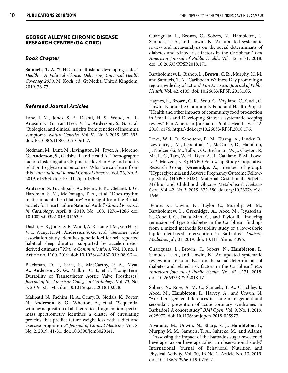#### **GEORGE ALLEYNE CHRONIC DISEASE RESEARCH CENTRE (GA-CDRC)**

#### *Book Chapter*

**Samuels, T. A.** "UHC in small island developing states." *Health - A Political Choice. Delivering Universal Health Coverage 2030*. M. Koch, ed. Gt Media: United Kingdom. 2019. 76-77.

#### *Refereed Journal Articles*

Lane, J. M., Jones, S. E., Dashti, H. S., Wood, A. R., Aragam K. G., van Hees, V. T., **Anderson, S. G.** et al. "Biological and clinical insights from genetics of insomnia symptoms". *Nature Genetics*. Vol. 51, No. 3. 2019. 387-393. doi: 10.1038/s41588-019-0361-7.

Stedman, M., Lunt, M., Livingston, M., Fryer, A., Moreno, G., **Anderson, S.,** Gadsby, R. and Heald A. "Demographic factor clustering at a GP practice level in England and its relation to glycaemic outcomes: What we can learn from this." *International Journal Clinical Practice*. Vol. 73, No. 5. 2019. e13303. doi: 10.1111/ijcp.13303.

**Anderson S. G.,** Shoaib, A., Myint, P. K., Cleland, J. G., Hardman, S. M., McDonagh, T. A., et al. "Does rhythm matter in acute heart failure? An insight from the British Society for Heart Failure National Audit." *Clinical Research in Cardiology*. April 8, 2019. No. 108. 1276–1286 doi: 10.1007/s00392-019-01463-5.

Dashti, H. S., Jones, S. E., Wood, A. R., Lane, J. M., van Hees, V. T., Wang, H. M., **Anderson, S. G.,** et al. "Genome-wide association study identifies genetic loci for self-reported habitual sleep duration supported by accelerometerderived estimates." *Nature Communications*. Vol. 10, no. 1. Article no. 1100. 2019. doi: 10.1038/s41467-019-08917-4.

Blackman, D. J., Saraf, S., MacCarthy, P. A., Myat, A., **Anderson, S. G.**, Malkin, C. J., et al. "Long-Term Durability of Transcatheter Aortic Valve Prostheses". *Journal of the American College of Cardiology*. Vol. 73, No. 5. 2019. 537-545. doi: 10.1016/j.jacc.2018.10.078.

Malipatil, N., Fachim, H. A., Geary, B., Siddals, K., Porter, N., **Anderson, S. G.**, Whetton, A., et al. "Sequential window acquisition of all theoretical fragment ion spectra mass spectrometry identifies a cluster of circulating proteins that predict future weight loss with a diet and exercise programme." *Journal of Clinical Medicine*. Vol. 8, No. 2. 2019. 41-51. doi: 10.3390/jcm8020141.

Guariguata, L., **Brown, C.,** Sobers, N., Hambleton, I., Samuels, T. A., and Unwin, N. "An updated systematic review and meta-analysis on the social determinants of diabetes and related risk factors in the Caribbean." *Pan American Journal of Public Health*. Vol. 42. e171. 2018. doi: 10.26633/RPSP.2018.171.

Bartholomew, L., Bishop, L., **Brown, C. R.,** Murphy, M. M. and Samuels, T. A. "Caribbean Wellness Day promoting a region-wide day of action." *Pan American Journal of Public Health*. Vol. 42. e105. doi: 10.26633/RPSP. 2018.105.

Haynes, E., **Brown, C. R.,** Wou, C., Vogliano, C., Guell, C, Unwin, N. and the Community Food and Health Project. "Health and other impacts of community food production in Small Island Developing States: a systematic scoping review." Pan American Journal of Public Health. Vol. 42. 2018. e176. https://doi.org/10.26633/RPSP.2018.176.

Lowe, W. L. Jr., Scholtens, D. M., Kuang, A., Linder, B., Lawrence, J. M., Lebenthal, Y., McCance, D., Hamilton, J., Nodzenski, M., Talbot, O., Brickman, W. J., Clayton, P., Ma, R. C., Tam, W. H., Dyer, A. R., Catalano, P. M., Lowe, L. P., Metzger, B. E.; HAPO Follow-up Study Cooperative Research Group (**Greenidge, A.,** member of group). "Hyperglycemia and Adverse Pregnancy Outcome Followup Study (HAPO FUS): Maternal Gestational Diabetes Mellitus and Childhood Glucose Metabolism". *Diabetes Care*. Vol. 42, No. 3. 2019. 372-380. doi.org/10.2337/dc18- 1646.

Bynoe, K., Unwin, N., Taylor C., Murphy, M. M., Bartholomew, L., **Greenidge, A.**, Abed M., Jeyaseelan, S., Cobelli, C., Dalla Man, C., and Taylor R. "Inducing remission of Type 2 diabetes in the Caribbean: findings from a mixed methods feasibility study of a low-calorie liquid diet-based intervention in Barbados." *Diabetic Medicine*. July 31, 2019. doi: 10.1111/dme.14096.

Guariguata, L., Brown, C., Sobers, N., **Hambleton, I.,** Samuels, T. A., and Unwin, N. "An updated systematic review and meta-analysis on the social determinants of diabetes and related risk factors in the Caribbean." *Pan American Journal of Public Health*. Vol. 42. e171. 2018. doi: 10.26633/RPSP.2018.171.

Sobers, N., Rose, A. M. C., Samuels, T. A., Critchley, J., Abed, M., **Hambleton, I.,** Harvey, A., and Unwin, N. "Are there gender differences in acute management and secondary prevention of acute coronary syndromes in Barbados? A cohort study." *BMJ Open*. Vol. 9, No. 1. 2019. e025977. doi: 10.1136/bmjopen-2018-025977.

Alvarado, M., Unwin, N., Sharp, S. J., **Hambleton, I.,** Murphy M. M., Samuels, T. A., Suhrcke, M., and Adams, J. "Assessing the impact of the Barbados sugar-sweetened beverage tax on beverage sales: an observational study." International Journal of Behavioral Nutrition and Physical Activity. Vol. 30, 16 No. 1. Article No. 13. 2019. doi: 10.1186/s12966-019-0776-7.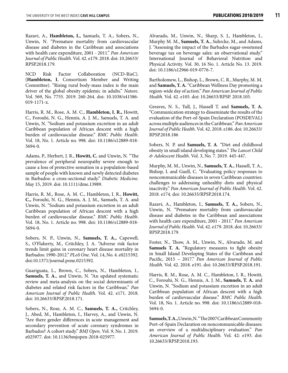Razavi, A., **Hambleton, I.,** Samuels, T. A., Sobers, N., Unwin, N. "Premature mortality from cardiovascular disease and diabetes in the Caribbean and associations with health care expenditure, 2001 - 2011." *Pan American Journal of Public Health*. Vol. 42. e179. 2018. doi: 10.26633/ RPSP.2018.179.

NCD Risk Factor Collaboration (NCD-RisC). (**Hambleton, I.** Consortium Member and Writing Committee). "Rising rural body-mass index is the main driver of the global obesity epidemic in adults." *Nature*. Vol. 569, No. 7755. 2019. 260-264. doi: 10.1038/s41586- 019-1171-x.

Harris, R. M., Rose, A. M. C., **Hambleton, I. R.,** Howitt, C., Forouhi, N. G., Hennis, A. J. M., Samuels, T. A. and Unwin, N. "Sodium and potassium excretion in an adult Caribbean population of African descent with a high burden of cardiovascular disease." *BMC Public Health*. Vol. 18, No. 1. Article no. 998. doi: 10.1186/s12889-018- 5694-0.

Adams, P., Herbert, J. R., **Howitt, C.** and Unwin, N. "The prevalence of peripheral neuropathy severe enough to cause a loss of protective sensation in a population-based sample of people with known and newly detected diabetes in Barbados: a cross-sectional study." *Diabetic Medicine*. May 15, 2019. doi: 10.1111/dme.13989.

Harris, R. M., Rose, A. M. C., Hambleton, I. R., **Howitt, C.,** Forouhi, N. G., Hennis, A. J. M., Samuels, T. A. and Unwin, N. "Sodium and potassium excretion in an adult Caribbean population of African descent with a high burden of cardiovascular disease." *BMC Public Health*. Vol. 18, No. 1. Article no. 998. doi: 10.1186/s12889-018- 5694-0.

Sobers, N. P., Unwin, N., **Samuels, T. A.,** Capewell, S., O'Flaherty, M., Critchley, J. A. "Adverse risk factor trends limit gains in coronary heart disease mortality in Barbados: 1990-2012." *PLoS One*. Vol. 14, No. 4. e0215392. doi:10.1371/journal.pone.0215392.

Guariguata, L., Brown, C., Sobers, N., Hambleton, I., **Samuels, T. A.**, and Unwin, N. "An updated systematic review and meta-analysis on the social determinants of diabetes and related risk factors in the Caribbean." *Pan American Journal of Public Health*. Vol. 42. e171. 2018. doi: 10.26633/RPSP.2018.171.

Sobers, N., Rose, A. M. C., **Samuels, T. A.,** Critchley, J., Abed, M., Hambleton, I., Harvey, A., and Unwin, N. "Are there gender differences in acute management and secondary prevention of acute coronary syndromes in Barbados? A cohort study." *BMJ Open*. Vol. 9, No. 1. 2019. e025977. doi: 10.1136/bmjopen-2018-025977.

Alvarado, M., Unwin, N., Sharp, S. J., Hambleton, I., Murphy M. M., **Samuels, T. A.**, Suhrcke, M., and Adams, J. "Assessing the impact of the Barbados sugar-sweetened beverage tax on beverage sales: an observational study." International Journal of Behavioral Nutrition and Physical Activity. Vol. 30, 16 No. 1. Article No. 13. 2019. doi: 10.1186/s12966-019-0776-7.

Bartholomew, L., Bishop, L., Brown, C. R., Murphy, M. M. and **Samuels, T. A.** "Caribbean Wellness Day promoting a region-wide day of action." *Pan American Journal of Public Health*. Vol. 42. e105. doi: 10.26633/RPSP. 2018.105.

Greaves, N. S., Tull, J., Hassell T. and **Samuels, T. A.** "Communication strategy to disseminate the results of the evaluation of the Port-of-Spain Declaration (POSDEVAL) across multiple audiences in the Caribbean." *Pan American Journal of Public Health*. Vol. 42. 2018. e186. doi: 10.26633/ RPSP.2018.186

Sobers, N. P. and **Samuels, T. A**. "Diet and childhood obesity in small island developing states." *The Lancet Child & Adolescent Health*. Vol. 3, No. 7. 2019. 445-447.

Murphy, M. M., Unwin, N., **Samuels, T. A.**, Hassell, T. A., Bishop, L and Guell, C. "Evaluating policy responses to noncommunicable diseases in seven Caribbean countries: challenges to addressing unhealthy diets and physical inactivity." *Pan American Journal of Public Health*. Vol. 42. 2018. e174. doi: 10.26633/RPSP.2018.174.

Razavi, A., Hambleton, I., **Samuels, T. A.,** Sobers, N., Unwin, N. "Premature mortality from cardiovascular disease and diabetes in the Caribbean and associations with health care expenditure, 2001 - 2011." *Pan American Journal of Public Health*. Vol. 42. e179. 2018. doi: 10.26633/ RPSP.2018.179.

Foster, N., Thow, A. M., Unwin, N., Alvarado, M. and **Samuels T. A.** "Regulatory measures to fight obesity in Small Island Developing States of the Caribbean and Pacific, 2015 – 2017." *Pan American Journal of Public Health*. Vol. 42. 2018. e191. doi: 10.26633/RPSP.2018.191.

Harris, R. M., Rose, A. M. C., Hambleton, I. R., Howitt, C., Forouhi, N. G., Hennis, A. J. M., **Samuels, T. A.** and Unwin, N. "Sodium and potassium excretion in an adult Caribbean population of African descent with a high burden of cardiovascular disease." *BMC Public Health*. Vol. 18, No. 1. Article no. 998. doi: 10.1186/s12889-018- 5694-0.

**Samuels, T. A.,** Unwin, N. "The 2007 Caribbean Community Port-of-Spain Declaration on noncommunicable diseases: an overview of a multidisciplinary evaluation." *Pan American Journal of Public Health.* Vol. 42: e193. doi: 10.26633/RPSP.2018.193.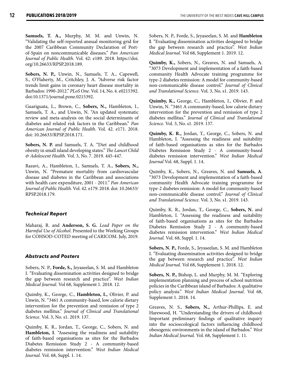**Samuels, T. A.,** Murphy, M. M. and Unwin, N. "Validating the self-reported annual monitoring grid for the 2007 Caribbean Community Declaration of Portof-Spain on noncommunicable diseases." *Pan American Journal of Public Health*. Vol. 42: e189. 2018. https://doi. org/10.26633/RPSP.2018.189.

**Sobers, N. P.,** Unwin, N., Samuels, T. A., Capewell, S., O'Flaherty, M., Critchley, J. A. "Adverse risk factor trends limit gains in coronary heart disease mortality in Barbados: 1990-2012." *PLoS One*. Vol. 14, No. 4. e0215392. doi:10.1371/journal.pone.0215392.

Guariguata, L., Brown, C., **Sobers, N.,** Hambleton, I., Samuels, T. A., and Unwin, N. "An updated systematic review and meta-analysis on the social determinants of diabetes and related risk factors in the Caribbean." *Pan American Journal of Public Health*. Vol. 42. e171. 2018. doi: 10.26633/RPSP.2018.171.

**Sobers, N. P.** and Samuels, T. A. "Diet and childhood obesity in small island developing states." *The Lancet Child & Adolescent Health*. Vol. 3, No. 7. 2019. 445-447.

Razavi, A., Hambleton, I., Samuels, T. A., **Sobers, N.,** Unwin, N. "Premature mortality from cardiovascular disease and diabetes in the Caribbean and associations with health care expenditure, 2001 - 2011." *Pan American Journal of Public Health*. Vol. 42. e179. 2018. doi: 10.26633/ RPSP.2018.179.

#### *Technical Report*

Maharaj, R. and **Anderson, S. G.** *Lead Paper on the Harmful Use of Alcohol*. Presented to the Working Groups for COHSOD-COTED meeting of CARICOM. July, 2019.

#### *Abstracts and Posters*

Sobers, N. P., **Forde, S.,** Jeyaseelan, S. M. and Hambleton I. "Evaluating dissemination activities designed to bridge the gap between research and practice". *West Indian Medical Journal*. Vol 68, Supplement 1. 2018. 12.

Quimby, K., George, C., **Hambleton, I.,** Olivier, P. and Unwin, N. "3461 A community-based, low calorie dietary intervention for the prevention and remission of type 2 diabetes mellitus." *Journal of Clinical and Translational Science*. Vol. 3, No. s1. 2019. 137.

Quimby, K. R., Jordan, T., George, C., Sobers, N. and **Hambleton, I**. "Assessing the readiness and suitability of faith-based organisations as sites for the Barbados Diabetes Remission Study 2 - A community-based diabetes remission intervention." *West Indian Medical Journal.* Vol. 68, Suppl. 1. 14.

Sobers, N. P., Forde, S., Jeyaseelan, S. M. and **Hambleton I**. "Evaluating dissemination activities designed to bridge the gap between research and practice". *West Indian Medical Journal*. Vol 68, Supplement 1. 2019. 12.

**Quimby, K.,** Sobers, N., Greaves, N. and Samuels, A. "3073 Development and implementation of a faith-based community Health Advocate training programme for type-2 diabetes remission: A model for community-based non-communicable disease control." *Journal of Clinical and Translational Science*. Vol. 3, No. s1. 2019. 143.

**Quimby, K.,** George, C., Hambleton, I., Olivier, P. and Unwin, N. "3461 A community-based, low calorie dietary intervention for the prevention and remission of type 2 diabetes mellitus." *Journal of Clinical and Translational Science*. Vol. 3, No. s1. 2019. 137.

**Quimby, K. R.,** Jordan, T., George, C., Sobers, N. and Hambleton, I. "Assessing the readiness and suitability of faith-based organisations as sites for the Barbados Diabetes Remission Study 2 - A community-based diabetes remission intervention." *West Indian Medical Journal* Vol. 68, Suppl. 1. 14.

Quimby, K., Sobers, N., Greaves, N. and **Samuels, A**. "3073 Development and implementation of a faith-based community Health Advocate training programme for type-2 diabetes remission: A model for community-based non-communicable disease control." *Journal of Clinical and Translational Science*. Vol. 3, No. s1. 2019. 143.

Quimby, K. R., Jordan, T., George, C., **Sobers, N.** and Hambleton, I. "Assessing the readiness and suitability of faith-based organisations as sites for the Barbados Diabetes Remission Study 2 - A community-based diabetes remission intervention." *West Indian Medical Journal.* Vol. 68, Suppl. 1. 14.

**Sobers, N. P.,** Forde, S., Jeyaseelan, S. M. and Hambleton I. "Evaluating dissemination activities designed to bridge the gap between research and practice". *West Indian Medical Journal*. Vol 68, Supplement 1. 2018. 12.

**Sobers, N. P.,** Bishop, L. and Murphy, M. M. "Exploring implementation planning and process of school nutrition policies in the Caribbean island of Barbados: A qualitative policy analysis." *West Indian Medical Journal*. Vol 68, Supplement 1. 2018. 14.

Greaves, N. S., **Sobers, N.,** Arthur-Phillips, E. and Harewood, H. "Understanding the drivers of childhood: Important preliminary findings of qualitative inquiry into the socioecological factors influencing childhood obesogenic environments in the island of Barbados." *West Indian Medical Journal.* Vol. 68, Supplement 1. 11.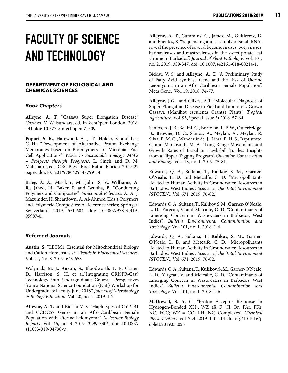# **FACULTY OF SCIENCE AND TECHNOLOGY**

#### **DEPARTMENT OF BIOLOGICAL AND CHEMICAL SCIENCES**

#### *Book Chapters*

**Alleyne, A. T.** "Cassava Super Elongation Disease". *Cassava*. V. Waisundara, ed. InTechOpen: London. 2018. 441. doi: 10.5772/intechopen.71509.

**Popuri, S. R.**, Harewood, A. J. T., Holder, S. and Lee, C.-H., "Development of Alternative Proton Exchange Membranes based on Biopolymers for Microbial Fuel Cell Applications". *Waste to Sustainable Energy: MFCs – Prospects through Prognosis*. L. Singh and D. M. Mahapatra, eds. CRC Press: Boca Raton, Florida. 2019. 27 pages. doi:10.1201/9780429448799-14.

Baleg, A. A., Masikini, M., John, S. V., **Williams, A. R.**, Jahed, N., Baker, P. and Iwuoha, E. "Conducting Polymers and Composites". *Functional Polymers*. A. A. J. Mazumder, H. Sheardown, A. Al-Ahmed (Eds.), Polymers and Polymeric Composites: A Reference series; Springer: Switzerland. 2019. 551-604. doi: 10.1007/978-3-319- 95987-0.

#### *Refereed Journals*

**Austin, S.** "LETM1: Essential for Mitochondrial Biology and Cation Homeostasis?" *Trends in Biochemical Sciences*. Vol. 44, No. 8. 2019. 648-658.

Wolyniak, M. J., **Austin, S.**, Bloodworth, L. F., Carter, D., Harrison, S. H. et al."Integrating CRISPR-Cas9 Technology into Undergraduate Courses: Perspectives from a National Science Foundation (NSF) Workshop for Undergraduate Faculty, June 2018". *Journal of Microbiology & Biology Education.* Vol. 20, no. 1. 2019. 1-7.

**Alleyne, A. T.** and Bideau V. S. "Haplotypes of CYP1B1 and CCDC57 Genes in an Afro-Caribbean Female Population with Uterine Leiomyoma". *Molecular Biology Reports*. Vol. 46, no. 3. 2019. 3299-3306. doi: 10.1007/ s11033-019-04790-y.

**Alleyne, A. T.**, Cummins, C., James, M., Guitierrez, D. and Fuentes, S. "Sequencing and assembly of small RNAs reveal the presence of several begomoviruses, potyviruses, badnaviruses and mastreviruses in the sweet potato leaf virome in Barbados". *Journal of Plant Pathology*. Vol. 101, no. 2. 2019. 339-347. doi: 10.1007/s42161-018-00214-1.

Bideau V. S. and **Alleyne, A. T.** "A Preliminary Study of Fatty Acid Synthase Gene and the Risk of Uterine Leiomyoma in an Afro-Caribbean Female Population". Meta Gene. Vol. 19. 2018. 74-77.

**Alleyne, J.G.** and Gilkes, A.T. "Molecular Diagnosis of Super-Elongation Disease in Field and Laboratory Grown Cassava (Manihot esculenta Crantz) Plants". *Tropical Agriculture*. Vol. 95, Special Issue 2) 2018. 57-64.

Santos, A. J. B., Bellini, C., Bortolon, L. F. W., Outerbridge, B., **Browne, D.** C., Santos, A., Meylan, A., Meylan, P., Silva, B. M. G., Wanderlinde, J., Lima, E. H. S., Baptistotte, C. and Marcovaldi, M. A. "Long-Range Movements and Growth Rates of Brazilian Hawksbill Turtles: Insights from a Flipper-Tagging Program". *Chelonian Conservation and Biology.* Vol*.* 18, no. 1. 2019. 75-81.

Edwards, Q. A., Sultana, T., Kulikov, S. M., **Garner-O'Neale, L. D.** and Metcalfe. C. D. "Micropollutants Related to Human Activity in Groundwater Resources in Barbados, West Indies". *Science of the Total Environment (STOTEN).* Vol. 671. 2019. 76-82.

Edwards, Q. A., Sultana, T., Kulikov, S. M., **Garner-O'Neale, L. D.**, Yargeau, V. and Metcalfe, C. D. "Contaminants of Emerging Concern in Wastewaters in Barbados, West Indies". *Bulletin Environmental Contamination and Toxicology*. Vol. 101, no. 1. 2018. 1-6.

Edwards, Q. A., Sultana, T., **Kulikov, S. M.**, Garner-O'Neale, L. D. and Metcalfe. C. D. "Micropollutants Related to Human Activity in Groundwater Resources in Barbados, West Indies". *Science of the Total Environment (STOTEN).* Vol. 671. 2019. 76-82.

Edwards, Q. A., Sultana, T., **Kulikov, S. M**., Garner-O'Neale, L. D., Yargeau, V. and Metcalfe, C. D. "Contaminants of Emerging Concern in Wastewaters in Barbados, West Indies". *Bulletin Environmental Contamination and Toxicology*. Vol. 101, no. 1. 2018. 1-6.

**McDowell, S. A. C.** "Proton Acceptor Response in Hydrogen-Bonded XH…WZ (X=F, Cl, Br, FAr, FKr, NC, FCC; WZ = CO, FH, N2) Complexes". *Chemical Physics Letters*. Vol. 724. 2019. 110-114. doi.org/10.1016/j. cplett.2019.03.055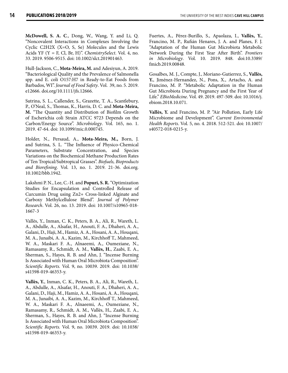**McDowell, S. A. C**., Dong, W., Wang, Y. and Li, Q. "Noncovalent Interactions in Complexes Involving the Cyclic C2H2X (X=O, S, Se) Molecules and the Lewis Acids YF (Y = F, Cl, Br, H)". *ChemistrySelect*. Vol. 4, no. 33. 2019. 9506-9515. doi: 10.1002/slct.201901463.

Hull-Jackson, C., **Mota-Meira, M.** and Adesiyun, A. 2019. "Bacteriological Quality and the Prevalence of Salmonella spp. and E. coli O157:H7 in Ready-to-Eat Foods from Barbados, WI". *Journal of Food Safety*. Vol. 39, no. 5. 2019. e12666. doi.org/10.1111/jfs.12666.

Sutrina, S. L., Callender, S., Grazette, T. A., Scantlebury, P., O'Neal, S., Thomas, K., Harris, D. C. and **Mota-Meira, M.** "The Quantity and Distribution of Biofilm Growth of Escherichia coli Strain ATCC 9723 Depends on the Carbon/Energy Source". *Microbiology*. Vol. 165, no. 1. 2019. 47-64. doi: 10.1099/mic.0.000745.

Holder, N., Persaud, A., **Mota-Meira, M.,** Born, J. and Sutrina, S. L. "The Influence of Physico-Chemical Parameters, Substrate Concentration, and Species Variations on the Biochemical Methane Production Rates of Ten Tropical/Subtropical Grasses". *Biofuels, Bioproducts and Biorefining*. Vol. 13, no. 1. 2019. 21-36. doi.org. 10.1002/bbb.1942.

Lakshmi P. N., Lee, C.-H. and **Popuri, S. R.** "Optimization Studies for Encapsulation and Controlled Release of Curcumin Drug using Zn2+ Cross-linked Alginate and Carboxy Methylcellulose Blend". *Journal of Polymer Research*. Vol. 26, no. 13. 2019. doi: 10.1007/s10965-018- 1667-3

Vallès, Y., Inman, C. K., Peters, B. A., Ali, R., Wareth, L. A., Abdulle, A., Alsafar, H., Anouti, F. A., Dhaheri, A. A., Galani, D., Haji, M., Hamiz, A. A., Hosani, A. A., Houqani, M. A., Junaibi, A. A., Kazim, M., Kirchhoff T., Mahmeed, W. A., Maskari F. A., Alnaeemi, A., Oumeziane, N., Ramasamy, R., Schmidt, A. M., **Vallès, H.**, Zaabi, E. A., Sherman, S., Hayes, R. B. and Ahn, J. "Incense Burning Is Associated with Human Oral Microbiota Composition". *Scientific Reports.* Vol. 9, no. 10039. 2019. doi: 10.1038/ s41598-019-46353-y.

**Vallès, Y.**, Inman, C. K., Peters, B. A., Ali, R., Wareth, L. A., Abdulle, A., Alsafar, H., Anouti, F. A., Dhaheri, A. A., Galani, D., Haji, M., Hamiz, A. A., Hosani, A. A., Houqani, M. A., Junaibi, A. A., Kazim, M., Kirchhoff T., Mahmeed, W. A., Maskari F. A., Alnaeemi, A., Oumeziane, N., Ramasamy, R., Schmidt, A. M., Vallès, H**.**, Zaabi, E. A., Sherman, S., Hayes, R. B. and Ahn, J. "Incense Burning Is Associated with Human Oral Microbiota Composition". *Scientific Reports.* Vol. 9, no. 10039. 2019. doi: 10.1038/ s41598-019-46353-y.

Fuertes, A., Pérez-Burillo, S., Apaolaza, I., **Vallès, Y.**, Francino, M. P., Rufián Henares, J. A. and Planes, F. J. "Adaptation of the Human Gut Microbiota Metabolic Network During the First Year After Birth". *Frontiers in Microbiology*. Vol. 10. 2019. 848. doi:10.3389/ fmicb.2019.00848.

Gosalbes, M. J., Compte, J., Moriano-Gutierrez, S., **Vallès, Y.**, Jiménez-Hernandez, N., Pons, X., Artacho, A. and Francino, M. P. "Metabolic Adaptation in the Human Gut Microbiota During Pregnancy and the First Year of Life." *EBioMedicine*. Vol. 49. 2019. 497-509. doi: 10.1016/j. ebiom.2018.10.071.

**Vallès, Y.** and Francino, M. P. "Air Pollution, Early Life Microbiome and Development". *Current Environmental Health Reports*. Vol. 5, no. 4. 2018. 512-521. doi: 10.1007/ s40572-018-0215-y.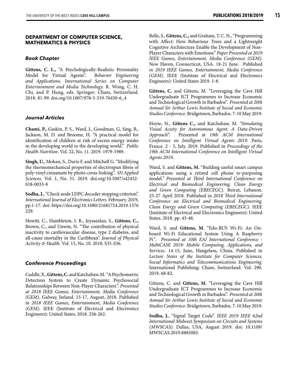#### **DEPARTMENT OF COMPUTER SCIENCE, MATHEMATICS & PHYSICS**

#### *Book Chapter*

**Gittens, C. L.,** "A Psychologically-Realistic Personality Model for Virtual Agents". *Behavior Engineering and Applications. International Series on Computer Entertainment and Media Technology.* R. Wong, C. H. Chi, and P. Hung, eds. Springer: Cham, Switzerland. 2018. 81-99. doi.org/10.1007/978-3-319-76430-6\_4

#### *Journal Articles*

**Chami, P.,** Gaskin, P. S., Ward, J., Goodman, G, Sing, B., Jackson, M. D. and Broome, H. "A practical model for identification of children at risk of excess energy intake in the developing world in the developing world." *Public Health Nutrition*. Vol. 22, No. 11. 2019. 1979-1989.

**Singh, U.**, Mohan, S., Davis F. and Mitchell G. "Modifying the thermomechanical properties of electrospun fibres of poly-vinyl cinnamate by photo-cross-linking". *SN Applied Sciences*. Vol. 1, No. 31. 2019. doi.org/10.1007/s42452- 018-0033-8

**Sodha, J.**, "Check node LDPC decoder stopping criterion". *International Journal of Electronics Letters*. February. 2019, pp.1-17. doi: https://doi.org/10.1080/21681724.2019.1576 229.

Howitt, C., Hambleton, I. R., Jeyaseelan, S., **Gittens, C.,** Brown, C., and Unwin, N. "The contribution of physical inactivity to cardiovascular disease, type 2 diabetes, and all-cause mortality in the Caribbean". *Journal of Physical Activity & Health.* Vol. 15, No. 10. 2018. S35-S36.

#### *Conference Proceedings*

Caddle, X., **Gittens, C.** and Katchabaw, M. *"*A Psychometric Detection System to Create Dynamic Psychosocial Relationships Between Non-Player Characters*". Presented at 2018 IEEE Games, Entertainment, Media Conference (GEM).* Galway, Ireland. 15-17, August, 2018. Published in *2018 IEEE Games, Entertainment, Media Conference (GEM)*. IEEE (Institute of Electrical and Electronics Engineers): United States. 2018. 256-262.

Belle, S., **Gittens, C.,** and Graham, T. C. N., "Programming with Affect: How Behaviour Trees and a Lightweight Cognitive Architecture Enable the Development of Non-Player Characters with Emotions." *Paper Presented at 2019 IEEE Games, Entertainment, Media Conference (GEM)*. New Haven, Connecticut, USA. 18-21 June. Published *in 2019 IEEE Games, Entertainment, Media Conference (GEM).* IEEE (Institute of Electrical and Electronics Engineers): United States 2019. 1-8.

**Gittens, C.** and Gittens, M. "Leveraging the Cave Hill Undergraduate ICT Programmes to Increase Economic and Technological Growth in Barbados". *Presented at 20th Annual Sir Arthur Lewis Institute of Social and Economic Studies Conference*. Bridgetown, Barbados. 7-10 May 2019.

Hoyte, N., **Gittens C.,** and Katchabaw, M. *"Simulating Visual Acuity for Autonomous Agent: A Data-Driven Approach"*. Presented at *19th ACM International Conference on Intelligent Virtual Agents 2019.* Paris, France*.* 2 - 5, July. 2019. Published in *Proceedings of the 19th ACM International Conference on Intelligent Virtual Agents 2019*.

Ward, S. and **Gittens, M.** "Building useful smart campus applications using a retired cell phone re-purposing model*." Presented at Third International Conference on Electrical and Biomedical Engineering, Clean Energy and Green Computing (EBECEGC).* Beirut, Lebanon. 25-27 April 2018. Published in *2018 Third International Conference on Electrical and Biomedical Engineering, Clean Energy and Green Computing (EBECEGC).* IEEE (Institute of Electrical and Electronics Engineers): United States. 2018. pp. 43-48.

Ward, S. and **Gittens, M.** "Edu-BUS Wi-Fi: An Onboard Wi-Fi Educational System Using A Raspberry Pi*"*. *Presented at 10th EAI International Conference - MobiCASE 2019: Mobile Computing, Applications, and Services*. 14-15, June, Hangzhou, China. Published in *Lecture Notes of the Institute for Computer Sciences, Social Informatics and Telecommunications Engineering*. International Publishing: Cham, Switzerland. Vol. 290. 2019. 68-82.

Gittens, C. and **Gittens, M.** "Leveraging the Cave Hill Undergraduate ICT Programmes to Increase Economic and Technological Growth in Barbados". *Presented at 20th Annual Sir Arthur Lewis Institute of Social and Economic Studies Conference*. Bridgetown, Barbados. 7-10 May 2019.

**Sodha, J.**, "Signal Target Code". *IEEE 2019 IEEE 62nd International Midwest Symposium on Circuits and Systems (MWSCAS)*. Dallas, USA, August 2019. doi: 10.1109/ MWSCAS.2019.8885083.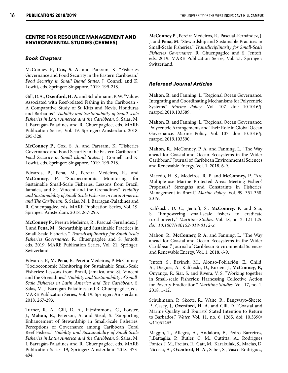#### **CENTRE FOR RESOURCE MANAGEMENT AND ENVIRONMENTAL STUDIES (CERMES)**

#### *Book Chapters*

McConney P., **Cox, S. A.** and Parsram, K. "Fisheries Governance and Food Security in the Eastern Caribbean." *Food Security in Small Island States.* J. Connell and K. Lowitt, eds. Springer: Singapore. 2019. 199-218.

Gill, D.A., **Oxenford, H. A.** and Schuhmann, P. W. "Values Associated with Reef-related Fishing in the Caribbean - A Comparative Study of St Kitts and Nevis, Honduras and Barbados." *Viability and Sustainability of Small-scale Fisheries in Latin America and the Caribbean*. S. Salas, M. J. Barragán-Paladines and R. Chuenpagdee, eds. MARE Publication Series, Vol. 19. Springer: Amsterdam. 2018. 295-328.

**McConney P.**, Cox, S. A. and Parsram, K. "Fisheries Governance and Food Security in the Eastern Caribbean." *Food Security in Small Island States.* J. Connell and K. Lowitt, eds. Springer: Singapore. 2019. 199-218.

Edwards, P., Pena, M., Pereira Medeiros, R., and **McConney, P**. "Socioeconomic Monitoring for Sustainable Small-Scale Fisheries: Lessons from Brazil, Jamaica, and St. Vincent and the Grenadines." *Viability and Sustainability of Small-Scale Fisheries in Latin America and The Caribbean.* S. Salas, M. J. Barragán-Paladines and R. Chuenpagdee, eds. MARE Publication Series, Vol. 19. Springer: Amsterdam. 2018. 267-293.

**McConney P**., Pereira Medeiros, R., Pascual-Fernández, J. J. and **Pena, M**. "Stewardship and Sustainable Practices in Small-Scale Fisheries." *Transdisciplinarity for Small-Scale Fisheries Governance.* R. Chuenpagdee and S. Jentoft, eds. 2019. MARE Publication Series, Vol. 21. Springer: Switzerland.

Edwards, P., **M. Pena**, R. Pereira Medeiros, P. McConney. "Socioeconomic Monitoring for Sustainable Small-Scale Fisheries: Lessons from Brazil, Jamaica, and St. Vincent and the Grenadines." *Viability and Sustainability of Small-Scale Fisheries in Latin America and The Caribbean.* S. Salas, M. J. Barragán-Paladines and R. Chuenpagdee, eds. MARE Publication Series, Vol. 19. Springer: Amsterdam. 2018. 267-293.

Turner, R. A., Gill, D. A., Fitzsimmons, C., Forster, J., **Mahon, R.**, Peterson, A. and Stead, S. "Supporting Enhancement of Stewardship in Small-Scale Fisheries: Perceptions of Governance among Caribbean Coral Reef Fishers." *Viability and Sustainability of Small-Scale Fisheries in Latin America and the Caribbean*. S. Salas, M. J. Barragán-Paladines and R. Chuenpagdee, eds. MARE Publication Series 19, Springer: Amsterdam. 2018. 473- 494.

**McConney P**., Pereira Medeiros, R., Pascual-Fernández, J. J. and **Pena, M**. "Stewardship and Sustainable Practices in Small-Scale Fisheries." *Transdisciplinarity for Small-Scale Fisheries Governance.* R. Chuenpagdee and S. Jentoft, eds. 2019. MARE Publication Series, Vol. 21. Springer: Switzerland.

#### *Refereed Journal Articles*

**Mahon, R.** and Fanning, L. "Regional Ocean Governance: Integrating and Coordinating Mechanisms for Polycentric Systems." *Marine Policy*. Vol. 107. doi: 10.1016/j. marpol.2019.103589.

**Mahon, R.** and Fanning, L. "Regional Ocean Governance: Polycentric Arrangements and Their Role in Global Ocean Governance. Marine Policy. Vol. 107. doi: 10.1016/j. marpol.2019.103590.

**Mahon, R.**, McConney, P. A. and Fanning, L. "The Way ahead for Coastal and Ocean Ecosystems in the Wider Caribbean." Journal of Caribbean Environmental Sciences and Renewable Energy. Vol. 1. 2018. 6-9.

Macedo, H. S., Medeiros, R. P. and **McConney, P**. "Are Multiple-use Marine Protected Areas Meeting Fishers' Proposals? Strengths and Constraints in Fisheries' Management in Brazil." *Marine Policy*. Vol. 99. 351-358. 2019.

Kalikoski, D. C., Jentoft, S., **McConney, P.** and Siar, S. "Empowering small-scale fishers to eradicate rural poverty." *Maritime Studies.* Vol. 18, no. 2. 121-125. *doi: 10.1007/s40152-018-0112-x.* 

Mahon, R., **McConney, P. A.** and Fanning, L. "The Way ahead for Coastal and Ocean Ecosystems in the Wider Caribbean." Journal of Caribbean Environmental Sciences and Renewable Energy. Vol. 1. 2018. 6-9.

Jentoft, S., Bavinck, M., Alonso-Población, E., Child, A., Diegues, A., Kalikoski, D., Kurien, J., **McConney**, **P.,** Onyango, P., Siar, S. and Rivera, V. S. "Working together in Small-scale Fisheries: Harnessing Collective Action for Poverty Eradication." *Maritime Studies*. Vol. 17, no. 1. 2018. 1-12.

Schuhmann, P., Skeete, R., Waite, R., Bangwayo-Skeete, P., Casey, J., **Oxenford, H. A.** and Gill, D. "Coastal and Marine Quality and Tourists' Stated Intention to Return to Barbados." *Water.* Vol. 11, no. 6. 1265. doi: 10.3390/ w<sub>11061265</sub>

Maggio, T., Allegra, A., Andaloro, F., Pedro Barreiros, J.,Battaglia, P., Butler, C. M., Cuttitta, A., Rodrigues Fontes, J. M., Freitas, R., Gatt, M., Karakulak, S., Macias, D, Nicosia, A., **Oxenford**, **H. A.,** Saber, S., Vasco Rodrigues,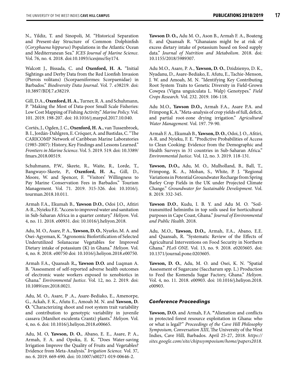N., Yildiz, T. and Sinopoli, M. "Historical Separation and Present-day Structure of Common Dolphinfish (*Coryphaena hippurus*) Populations in the Atlantic Ocean and Mediterranean Sea." *ICES Journal of Marine Science*. Vol. 76, no. 4*.* 2018. doi:10.1093/icesjms/fsy174.

Walcott J., Bissada, C. and **Oxenford, H. A.** "Initial Sightings and Derby Data from the Red Lionfish Invasion (Pterois volitans) (Scorpaeniformes: Scorpaenidae) in Barbados." *Biodiversity Data Journal*. Vol. 7. e38219. doi: 10.3897/BDJ.7.e38219.

Gill, D.A., **Oxenford, H. A.**, Turner, R. A. and Schuhmann, P. "Making the Most of Data-poor Small Scale Fisheries: Low Cost Mapping of Fishing Activity." *Marine Policy.* Vol. 101. 2019. 198-207. doi: 10.1016/j.marpol.2017.10.040.

Cortés, J., Ogden, J. C., **Oxenford, H. A.**, van Tussenbroek, B. I., Jordán-Dahlgren, E. Cróquer, A. and Bastidas, C. "The CARICOMP Network of Caribbean Marine Laboratories (1985-2007): History, Key Findings and Lessons Learned." *Frontiers in Marine Science*. Vol. 5. 2019. 519. doi: 10.3389/ fmars.2018.00519.

Schuhmann, P.W., Skeete, R., Waite, R., Lorde, T., Bangwayo-Skeete, P., **Oxenford, H. A.,** Gill, D., Moore, W. and Spencer, F. "Visitors' Willingness to Pay Marine Conservation Fees in Barbados." Tourism Management. Vol. 71. 2019. 315-326. doi: 10.1016/j. tourman.2018.10.011.

Armah F.A., Ekumah B., **Yawson D.O.**, Odoi J.O., Afitiri A-R., Nyieku F.E. "Access to improved water and sanitation in Sub-Saharan Africa in a quarter century." *Heliyon*. Vol. 4, no. 11. 2018. e00931. doi: 10.1016/j.heliyon.2018.

Adu, M. O., Asare, P. A., **Yawson, D. O.**, Nyarko, M. A. and Osei-Agyeman, K. "Agronomic Biofortification of Selected Underutilized Solanaceae Vegetables for Improved Dietary intake of potassium (K) in Ghana." *Heliyon*. Vol. 4, no. 8. 2018. e00750 doi: 10.1016/j.heliyon.2018.e00750.

Armah F.A., Quansah R**., Yawson D.O.** and Luqman A. B. "Assessment of self-reported adverse health outcomes of electronic waste workers exposed to xenobiotics in Ghana." *Environmental Justice*. Vol. 12, no. 2. 2019. doi: 10.1089/env.2018.0021.

Adu, M. O., Asare, P .A., Asare-Bediako, E., Amenorpe, G., Ackah, F. K., Afutu E., Amoah M. N. and **Yawson, D. O.** "Characterizing shoot and root system trait variability and contribution to genotypic variability in juvenile cassava (Manihot esculenta Crantz) plants." *Heliyon.* Vol. 4, no. 6. doi: 10.1016/j.heliyon.2018.e00665.

Adu, M. O, **Yawson, D. O.**, Abano, E. E., Asare, P. A., Armah, F. A. and Opoku, E. K. "Does Water-saving Irrigation Improve the Quality of Fruits and Vegetables? Evidence from Meta-Analysis." *Irrigation Science.* Vol. 37, no. 6. 2019. 669-690. doi: 10.1007/s00271-019-00646-2.

**Yawson D. O.,** Adu M. O., Ason B., Armah F. A., Boateng E. and Quansah R. "Ghanaians might be at risk of excess dietary intake of potassium based on food supply data." *Journal of Nutrition and Metabolism*. 2018. doi: 10.1155/2018/5989307.

Adu M.O., Asare, P. A., **Yawson, D. O.**, Dzidzienyo, D. K., Nyadanu, D., Asare-Bediako, E. Afutu, E., Tachie-Menson, J. W. and Amoah, M. N. "Identifying Key Contributing Root System Traits to Genetic Diversity in Field-Grown Cowpea (Vigna unguiculata L. Walp) Genotypes." *Field Crops Research.* Vol. 232. 2019. 106-118.

Adu M.O., **Yawson D.O.,** Armah F.A., Asare P.A. and Frimpong K.A. "Meta-analysis of crop yields of full, deficit, and partial root-zone drying irrigation." *Agricultural Water Management.* Vol. 197. 79-90.

Armah F. A., Ekumah B., **Yawson, D. O.**, Odoi, J. O., Afitiri, A-R. and Nyieku, F. E. "Predictive Probabilities of Access to Clean Cooking: Evidence from the Demographic and Health Surveys in 31 countries in Sub-Saharan Africa." *Environmental Justice*. Vol. 12, no. 3. 2019. 118-131.

**Yawson, D.O.,** Adu, M. O., Mulholland, B., Ball, T., Frimpong, K. A., Mohan, S., White, P. J. "Regional Variations in Potential Groundwater Recharge from Spring Barley Crop Fields in the UK under Projected Climate Change." *Groundwater for Sustainable Development.* Vol. 8. 2019. 332-345.

**Yawson D.O**., Kudu, I. B. Y. and Adu M. O. "Soiltransmitted helminths in top soils used for horticultural purposes in Cape Coast, Ghana." *Journal of Environmental and Public Health*. 2018.

Adu, M.O., **Yawson, D.O.,** Armah, F.A., Abano, E.E. and Quansah, R. "Systematic Review of the Effects of Agricultural Interventions on Food Security in Northern Ghana." *PLoS ONE.* Vol. 13, no. 9. 2018. e0203605. doi: 10.1371/journal.pone.0203605.

**Yawson, D. O.**, Adu, M. O. and Osei, K. N. "Spatial Assessment of Sugarcane (Saccharum spp. L.) Production to Feed the Komenda Sugar Factory, Ghana." *Heliyon*. Vol. 4, no. 11. 2018. e00903. doi: 10.1016/j.heliyon.2018. e00903.

#### *Conference Proceedings*

**Yawson, D.O.** and Armah, F.A. **"**Alienation and conflicts in protected forest resource exploitation in Ghana: who or what is legal?" *Proceedings of the Cave Hill Philosophy Symposium, Conversation XIII*, The University of the West Indies, Cave Hill, Barbados. April 25-27, 2018. *https:// sites.google.com/site/chipssymposium/home/papers2018*.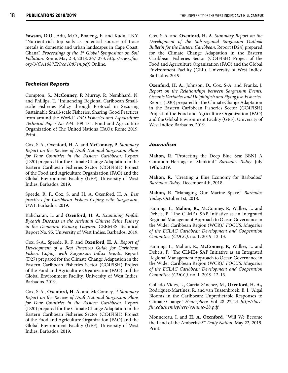**Yawson, D.O**., Adu, M.O., Boateng, E. and Kudu, I.B.Y. "Nutrient-rich top soils as potential sources of trace metals in domestic and urban landscapes in Cape Coast, Ghana". *Proceedings of the 1st Global Symposium on Soil Pollution.* Rome. May 2-4, 2018. 267-273. *http://www.fao. org/3/CA1087EN/ca1087en.pdf.* Online*.*

#### *Technical Reports*

Compton, S., **McConney, P.** Murray, P., Nembhard, N. and Phillips, T. "Influencing Regional Caribbean Smallscale Fisheries Policy through Protocol in Securing Sustainable Small-scale Fisheries: Sharing Good Practices from around the World." *FAO Fisheries and Aquaculture Technical Paper No. 644*. 109-131. Food and Agriculture Organization of The United Nations (FAO): Rome 2019. Print.

Cox, S-A., Oxenford, H. A. and **McConney, P**. *Summary Report on the Review of Draft National Sargassum Plans for Four Countries in the Eastern Caribbean*. Report (D20) prepared for the Climate Change Adaptation in the Eastern Caribbean Fisheries Sector (CC4FISH) Project of the Food and Agriculture Organization (FAO) and the Global Environment Facility (GEF). University of West Indies: Barbados. 2019.

Speede, R. F., Cox, S. and H. A. Oxenford, H. A. *Best practices for Caribbean Fishers Coping with Sargassum*. UWI: Barbados. 2019.

Kalicharan, L. and **Oxenford, H. A**. *Examining Finfish Bycatch Discards in the Artisanal Chinese Seine Fishery in the Demerara Estuary, Guyana*. CERMES Technical Report No. 95. University of West Indies: Barbados. 2019.

Cox, S-A., Speede, R. F. and **Oxenford, H. A.** *Report of Development of a Best Practices Guide for Caribbean Fishers Coping with Sargassum Influx Events.* Report (D27) prepared for the Climate Change Adaptation in the Eastern Caribbean Fisheries Sector (CC4FISH) Project of the Food and Agriculture Organization (FAO) and the Global Environment Facility. University of West Indies: Barbados. 2019.

Cox, S-A., **Oxenford, H. A.** and McConney, P. *Summary Report on the Review of Draft National Sargassum Plans for Four Countries in the Eastern Caribbean*. Report (D20) prepared for the Climate Change Adaptation in the Eastern Caribbean Fisheries Sector (CC4FISH) Project of the Food and Agriculture Organization (FAO) and the Global Environment Facility (GEF). University of West Indies: Barbados. 2019.

Cox, S-A. and **Oxenford, H. A**. *Summary Report on the Development of the Sub-regional Sargassum Outlook Bulletin for the Eastern Caribbean*. Report (D24) prepared for the Climate Change Adaptation in the Eastern Caribbean Fisheries Sector (CC4FISH) Project of the Food and Agriculture Organization (FAO) and the Global Environment Facility (GEF). University of West Indies: Barbados. 2019.

**Oxenford, H. A.**, Johnson, D., Cox, S-A. and Franks, J. *Report on the Relationships between Sargassum Events, Oceanic Variables and Dolphinfish and Flying fish Fisheries*. Report (D30) prepared for the Climate Change Adaptation in the Eastern Caribbean Fisheries Sector (CC4FISH) Project of the Food and Agriculture Organization (FAO) and the Global Environment Facility (GEF). University of West Indies: Barbados. 2019.

#### *Journalism*

**Mahon, R.** "Protecting the Deep Blue Sea: BBNJ A Common Heritage of Mankind." *Barbados Today*. July 19th, 2019.

**Mahon, R.** "Creating a Blue Economy for Barbados." *Barbados Today*. December 4th, 2018.

**Mahon, R**. "Managing Our Marine Space." *Barbados Today*. October 1st, 2018.

Fanning, L., **Mahon, R.,** McConney, P., Walker, L. and Debels, P. "The CLME+ SAP Initiative as an Integrated Regional Management Approach to Ocean Governance in the Wider Caribbean Region (WCR)." *FOCUS: Magazine of the ECLAC Caribbean Development and Cooperation Committee (CDCC)*. no. 1. 2019. 12-13.

Fanning, L., Mahon, R., **McConney, P.,** Walker, L. and Debels, P. "The CLME+ SAP Initiative as an Integrated Regional Management Approach to Ocean Governance in the Wider Caribbean Region (WCR)." *FOCUS: Magazine of the ECLAC Caribbean Development and Cooperation Committee (CDCC)*. no. 1. 2019. 12-13.

Collado-Vides, L., García-Sánchez, M., **Oxenford, H. A.,** Rodríguez-Martínez, R. and van Tussenbroek, B. I. "Algal Blooms in the Caribbean: Unpredictable Responses to Climate Change." *Hemisphere*. Vol. 28. 22-24. *http://lacc. fiu.edu/hemisphere/volume-28.pdf*.

Monnereau, I. and **H. A. Oxenford**. "Will We Become the Land of the Amberfish?" *Daily Nation*. May 22, 2019. Print.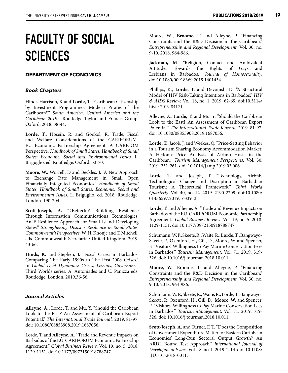# **FACULTY OF SOCIAL SCIENCES**

#### **DEPARTMENT OF ECONOMICS**

#### *Book Chapters*

Hinds-Harrison, K and **Lorde, T**. "Caribbean Citizenship by Investment Programmes: Modern Pirates of the Caribbean?" *South America, Central America and the Caribbean 2019*. Routledge-Taylor and Francis Group: Oxford. 2018. 38-44.

**Lorde, T.**, Hosein, R. and Gookol, R. Trade, Fiscal and Welfare Considerations of the CARIFORUM-EU Economic Partnership Agreement: A CARICOM Perspective. *Handbook of Small States. Handbook of Small States: Economic, Social and Environmental Issues*. L. Briguglio, ed. Routledge: Oxford. 53-70.

**Moore, W.**, Worrell, D and Beckles, J. "A New Approach to Exchange Rate Management in Small Open Financially Integrated Economics." *Handbook of Small States*. *Handbook of Small States: Economic, Social and Environmental Issues*. L. Briguglio, ed. 2018. Routledge: London. 190-204.

Scott-Joseph, A. "#Betterfit# Buildiing Resilience Through Information Communications Technologies: An E-Resilience Approach for Small Island Developing States." *Strengthening Disaster Resilience in Small States: Commonwealth Perspectives.* W. H. Khonje and T. Mitchell, eds. Commonwealth Secretariat: United Kingdom. 2019. 43-66.

**Hinds, K.** and Stephen, J. "Fiscal Crises in Barbados: Comparing The Early 1990s to The Post-2008 Crises." in *Global Debt Dynamics: Crises, Lessons, Governance*. Third Worlds series. A. Antoniades and U. Panizza eds. Routledge: London. 2019.36-56.

#### *Journal Articles*

**Alleyne, A.,** Lorde, T. and Mu, Y. "Should the Caribbean Look to the East? An Assessment of Caribbean Export Potential." *The International Trade Journal.* 2019. 81-97. doi: 10.1080/08853908.2019.1687056.

Lorde, T. and **Alleyne, A**. "Trade and Revenue Impacts on Barbados of the EU-CARIFORUM Economic Partnership Agreement." *Global Business Review*. Vol. 19, no. 5. 2018. 1129-1151. doi:10.1177/0972150918788747.

Moore, W**.**, **Broome, T.** and Alleyne, P. "Financing Constraints and the R&D Decision in the Caribbean." *Entrepreneurship and Regional Development*. Vol. 30, no. 9-10. 2018. 964-986.

**Jackman, M**. "Religion, Contact and Ambivalent Attitudes Towards the Rights of Gays and Lesbians in Barbados." *Journal of Homosexuality*. doi:10.1080/00918369.2019.1601434.

Phillips, K., **Lorde, T.** and Devonish, D. "A Structural Model of HIV Risk-Taking Intentions in Barbados." *HIV & AIDS Review.* Vol. 18, no. 1. 2019. 62-69. doi:10.5114/ hivar.2019.84171

Alleyne, A., **Lorde, T.** and Mu, Y. "Should the Caribbean Look to the East? An Assessment of Caribbean Export Potential." *The International Trade Journal.* 2019. 81-97. doi: 10.1080/08853908.2019.1687056.

**Lorde, T.**, Jacob, J. and Weekes, Q. "Price-Setting Behavior in a Tourism Sharing Economy Accommodation Market: A Hedonic Price Analysis of Airbnb Hosts in the Caribbean*." Tourism Management Perspectives*. Vol. 30. 2019. 251-261. doi: 10.1016/j.tmp.2019.03.006.

**Lorde, T.** and Joseph, T. "Technology, Airbnb, Technological Change and Disruption in Barbadian Tourism: A Theoretical Framework." *Third World Quarterly*. Vol. 40, no. 12. 2019. 2190-2209. doi:10.1080/ 01436597.2019.1633913.

**Lorde, T.** and Alleyne, A. "Trade and Revenue Impacts on Barbados of the EU-CARIFORUM Economic Partnership Agreement." *Global Business Review*. Vol. 19, no. 5. 2018. 1129-1151. doi:10.1177/0972150918788747.

Schumann, W. P., Skeete, R., Waite, R., **Lorde, T.**, Bangwayo-Skeete, P., Oxenford, H., Gill, D., Moore, W. and Spencer, F. "Visitors' Willingness to Pay Marine Conservation Fees in Barbados." *Tourism Management*. Vol. 71. 2019. 319- 326. doi: 10.1016/j.tourman.2018.10.011

**Moore, W.**, Broome, T. and Alleyne, P. "Financing Constraints and the R&D Decision in the Caribbean." *Entrepreneurship and Regional Development*. Vol. 30, no. 9-10. 2018. 964-986.

Schumann, W. P., Skeete, R., Waite, R., Lorde, T., Bangwayo-Skeete, P., Oxenford, H., Gill, D., **Moore, W.** and Spencer, F. "Visitors' Willingness to Pay Marine Conservation Fees in Barbados." *Tourism Management*. Vol. 71. 2019. 319- 326. doi: 10.1016/j.tourman.2018.10.011.

**Scott-Joseph, A.** and Turner, F. T. "Does the Composition of Government Expenditure Matter for Eastern Caribbean Economies' Long-Run Sectoral Output Growth? An ARDL Bound Test Approach." *International Journal of Development Issues*. Vol. 18, no. 1. 2019. 2-14. doi: 10.1108/ IJDI-01-2018-0011.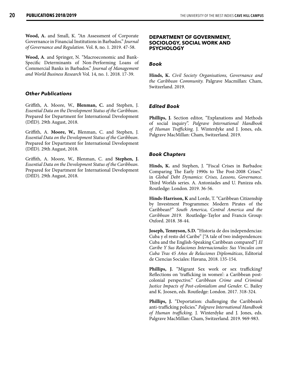**Wood, A.** and Small, K. "An Assessment of Corporate Governance in Financial Institutions in Barbados." *Journal of Governance and Regulation.* Vol. 8, no. 1. 2019. 47-58.

**Wood, A**. and Springer, N. "Macroeconomic and Bank-Specific Determinants of Non-Performing Loans of Commercial Banks in Barbados." *Journal of Management and World Business Research* Vol. 14, no. 1. 2018. 17-39.

#### *Other Publications*

Griffith, A. Moore, W., **Blenman, C.** and Stephen, J. *Essential Data on the Development Status of the Caribbean*. Prepared for Department for International Development (DfID). 29th August, 2018.

Griffith, A. **Moore, W.,** Blenman, C. and Stephen, J. *Essential Data on the Development Status of the Caribbean*. Prepared for Department for International Development (DfID). 29th August, 2018.

Griffith, A. Moore, W., Blenman, C. and **Stephen, J.** *Essential Data on the Development Status of the Caribbean*. Prepared for Department for International Development (DfID). 29th August, 2018.

#### **DEPARTMENT OF GOVERNMENT, SOCIOLOGY, SOCIAL WORK AND PSYCHOLOGY**

#### *Book*

**Hinds, K.** *Civil Society Organisations, Governance and the Caribbean Community.* Palgrave Macmillan: Cham, Switzerland. 2019.

#### *Edited Book*

**Phillips, J.** Section editor, "Explanations and Methods of social inquiry". *Palgrave International Handbook of Human Trafficking*. J. Winterdyke and J. Jones, eds. Palgrave MacMillan: Cham, Switzerland. 2019.

#### *Book Chapters*

**Hinds, K.** and Stephen, J. "Fiscal Crises in Barbados: Comparing The Early 1990s to The Post-2008 Crises." in *Global Debt Dynamics: Crises, Lessons, Governance*. Third Worlds series. A. Antoniades and U. Panizza eds. Routledge: London. 2019. 36-56.

**Hinds-Harrison, K** and Lorde, T. "Caribbean Citizenship by Investment Programmes: Modern Pirates of the Caribbean?" *South America, Central America and the Caribbean 2019*. Routledge-Taylor and Francis Group: Oxford. 2018. 38-44.

**Joseph, Tennyson, S.D.** "Historia de dos independencias: Cuba y el resto del Caribe" ["A tale of two independences: Cuba and the English-Speaking Caribbean compared"] *El Caribe Y Sus Relaciones Internacionales: Sus Vinculos con Cuba Tras 45 Años de Relaciones Diplomáticas*, Editorial de Ciencias Sociales: Havana, 2018. 135-154.

**Phillips, J.** "Migrant Sex work or sex trafficking? Reflections on 'trafficking in women': a Caribbean postcolonial perspective." *Caribbean Crime and Criminal Justice Impacts of Post-colonialism and Gender.* C. Bailey and K. Joosen, eds. Routledge: London. 2017. 318-324.

**Phillips, J.** "Deportation: challenging the Caribbean's anti-trafficking policies." *Palgrave International Handbook of Human trafficking.* J. Winterdyke and J. Jones, eds. Palgrave MacMillan: Cham, Switzerland. 2019. 969-983.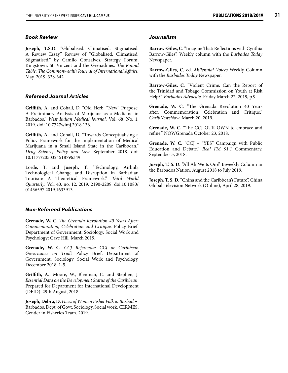#### *Book Review*

**Joseph, T.S.D.** "Globalised. Climatised. Stigmatised. A Review Essay." Review of "Globalised. Climatised. Stigmatised." by Camilo Gonsalves. Strategy Forum; Kingstown, St. Vincent and the Grenadines. *The Round Table: The Commonwealth Journal of International Affairs.* May. 2019. 338-342.

#### *Refereed Journal Articles*

**Griffith, A.** and Cohall, D. "Old Herb, "New" Purpose: A Preliminary Analysis of Marijuana as a Medicine in Barbados." *West Indian Medical Journal*. Vol. 68, No. 1. 2019. doi: 10.7727wimj.2018.136.

**Griffith, A.** and Cohall, D. "Towards Conceptualising a Policy Framework for the Implementation of Medical Marijuana in a Small Island State in the Caribbean." *Drug Science, Policy and Law*. September 2018. doi: 10.1177/2050324518796349

Lorde, T. and **Joseph, T.** "Technology, Airbnb, Technological Change and Disruption in Barbadian Tourism: A Theoretical Framework." *Third World Quarterly*. Vol. 40, no. 12. 2019. 2190-2209. doi:10.1080/ 01436597.2019.1633913.

#### *Non-Refereed Publications*

**Grenade, W. C.** *The Grenada Revolution 40 Years After: Commemoration, Celebration and Critique.* Policy Brief. Department of Government, Sociology, Social Work and Psychology: Cave Hill. March 2019.

**Grenade, W. C**. *CCJ Referenda: CCJ or Caribbean Governance on Trial?* Policy Brief. Department of Government, Sociology, Social Work and Psychology. December 2018. 1-5.

**Griffith, A.**, Moore, W., Blenman, C. and Stephen, J. *Essential Data on the Development Status of the Caribbean*. Prepared for Department for International Development (DFID). 29th August, 2018.

**Joseph, Debra, D**. *Faces of Women Fisher Folk in Barbados*. Barbados. Dept. of Govt, Sociology, Social work, CERMES; Gender in Fisheries Team. 2019.

#### *Journalism*

**Barrow-Giles, C**. "Imagine That: Reflections with Cynthia Barrow-Giles". Weekly column with the *Barbados Today* Newspaper.

**Barrow-Giles, C**, ed. *Millennial Voices* Weekly Column with the *Barbados Today* Newspaper.

**Barrow-Giles, C**. "Violent Crime: Can the Report of the Trinidad and Tobago Commission on Youth at Risk Help?" *Barbados Advocate*. Friday March 22, 2019, p.9.

**Grenade, W. C.** "The Grenada Revolution 40 Years after: Commemoration, Celebration and Critique." *CaribNewsNow*. March 20, 2019.

**Grenade, W. C.** "The CCJ OUR OWN to embrace and refine." NOWGrenada October 23, 2018.

**Grenade, W. C.** "CCJ – "YES" Campaign with Public Education and Debate." *Real FM 91.1* Commentary. September 5, 2018.

**Joseph, T. S. D.** "All Ah We Is One" Biweekly Column in the Barbados Nation. August 2018 to July 2019.

**Joseph, T. S. D.** "China and the Caribbean's Future". China Global Television Network (Online), April 28, 2019.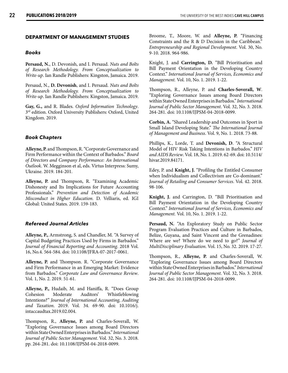#### **DEPARTMENT OF MANAGEMENT STUDIES**

#### *Books*

**Persaud, N.**, D. Devonish, and I. Persaud. *Nuts and Bolts of Research Methodology. From Conceptualization to Write-up*. Ian Randle Publishers: Kingston, Jamaica. 2019.

Persaud, N., **D. Devonish**, and I. Persaud. *Nuts and Bolts of Research Methodology. From Conceptualization to Write-up*. Ian Randle Publishers: Kingston, Jamaica. 2019.

**Gay, G.,** and R. Blades. *Oxford Information Technology*. 3rd edition. Oxford University Publishers: Oxford, United Kingdom. 2019.

#### *Book Chapters*

**Alleyne, P.** and Thompson, R. "Corporate Governance and Firm Performance within the Context of Barbados." *Board of Directors and Company Performance: An International Outlook*. W. Megginson et al, eds. Virtus Interpress: Sumy, Ukraine. 2019. 184-201.

**Alleyne, P.** and Thompson, R. "Examining Academic Dishonesty and Its Implications for Future Accounting Professionals." *Prevention and Detection of Academic Misconduct in Higher Education.* D. Velliaris, ed. IGI Global: United States. 2019. 159-183.

#### *Refereed Journal Articles*

**Alleyne, P.,** Armstrong, S. and Chandler, M. "A Survey of Capital Budgeting Practices Used by Firms in Barbados." *Journal of Financial Reporting and Accounting*. 2018 Vol. 16, No.4. 564-584. doi: 10.1108/JFRA-07-2017-0061.

**Alleyne, P.** and Thompson. R. "Corporate Governance and Firm Performance in an Emerging Market: Evidence from Barbados." *Corporate Law and Governance Review*. Vol. 1, No. 2. 2019. 51-61.

**Alleyne, P.,** Hudaib, M. and Haniffa, R. "Does Group Cohesion Moderate Auditors' Whistleblowing Intentions?" *Journal of International Accounting, Auditing and Taxation*. 2019. Vol. 34. 69-90. doi: 10.1016/j. intaccaudtax.2019.02.004.

Thompson, R., **Alleyne, P.** and Charles-Soverall, W. "Exploring Governance Issues among Board Directors within State Owned Enterprises in Barbados." *International Journal of Public Sector Management*. Vol. 32, No. 3. 2018. pp. 264-281. doi: 10.1108/IJPSM-04-2018-0099.

Broome, T., Moore, W. and **Alleyne, P.** "Financing Constraints and the R & D Decision in the Caribbean." *Entrepreneurship and Regional Development*. Vol. 30, No. 9-10. 2018. 964-986.

Knight, J. and **Carrington, D.** "Bill Prioritisation and Bill Payment Orientation in the Developing Country Context." *International Journal of Services, Economics and Management.* Vol. 10, No. 1. 2019. 1-22.

Thompson, R., Alleyne, P. and **Charles-Soverall, W**. "Exploring Governance Issues among Board Directors within State Owned Enterprises in Barbados." *International Journal of Public Sector Management*. Vol. 32, No. 3. 2018. 264-281. doi: 10.1108/IJPSM-04-2018-0099.

**Corbin, A.** "Shared Leadership and Outcomes in Sport in Small Island Developing State." *The International Journal of Management and Business*. Vol. 9, No. 1. 2018. 73-88.

Phillips, K., Lorde, T. and **Devonish, D**. "A Structural Model of HIV Risk Taking Intentions in Barbados." *HIV and AIDS Review*. Vol. 18, No. 1. 2019. 62-69. doi: 10.5114/ hivar.2019.84171.

Edey, P. and **Knight, J.** "Profiling the Entitled Consumer when Individualism and Collectivism are Co-dominant." *Journal of Retailing and Consumer Services*. Vol. 42. 2018. 98-106.

**Knight, J.** and Carrington, D. "Bill Prioritisation and Bill Payment Orientation in the Developing Country Context." *International Journal of Services, Economics and Management.* Vol. 10, No. 1. 2019. 1-22.

**Persaud, N.** "An Exploratory Study on Public Sector Program Evaluation Practices and Culture in Barbados, Belize, Guyana, and Saint Vincent and the Grenadines: Where are we? Where do we need to go?" *Journal of MultiDisciplinary Evaluation*. Vol. 15, No. 32. 2019. 17-27.

Thompson, R., **Alleyne, P.** and Charles-Soverall, W. "Exploring Governance Issues among Board Directors within State Owned Enterprises in Barbados." *International Journal of Public Sector Management*. Vol. 32, No. 3. 2018. 264-281. doi: 10.1108/IJPSM-04-2018-0099.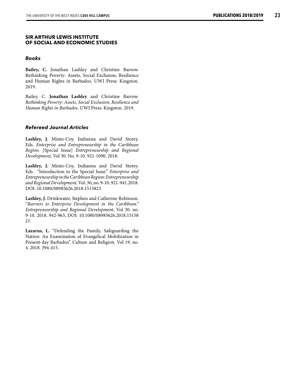#### **SIR ARTHUR LEWIS INSTITUTE OF SOCIAL AND ECONOMIC STUDIES**

#### *Books*

**Bailey, C.** Jonathan Lashley and Christine Barrow. Rethinking Poverty: Assets, Social Exclusion, Resilience and Human Rights in Barbados. UWI Press: Kingston. 2019.

Bailey, C. **Jonathan Lashley** and Christine Barrow. *Rethinking Poverty: Assets, Social Exclusion, Resilience and Human Rights in Barbados*. UWI Press: Kingston. 2019.

#### *Refereed Journal Articles*

**Lashley, J.** Minto-Coy, Indianna and David Storey. Eds. *Enterprise and Entrepreneurship in the Caribbean Region.* [Special Issue] *Entrepreneurship and Regional Development,* Vol 30. No. 9-10. 921-1090. 2018.

**Lashley, J.** Minto-Coy, Indianna and David Storey. Eds. "Introduction to the Special Issue." *Enterprise and Entrepreneurship in the Caribbean Region*: *Entrepreneurship and Regional Development,* Vol. 30, no. 9-10. 921-941.2018. DOI: 10.1080/08985626.2018.1515823.

**Lashley, J.** Drinkwater, Stephen and Catherine Robinson. "*Barriers to Enterprise Development in the Caribbean." Entrepreneurship and Regional Development*, Vol 30. no. 9-10. 2018. 942-963, DOI: 10.1080/08985626.2018.15158 21.

**Lazarus, L.** "Defending the Family, Safeguarding the Nation: An Examination of Evangelical Mobilization in Present-day Barbados". Culture and Religion. Vol 19. no. 4. 2018. 394-415.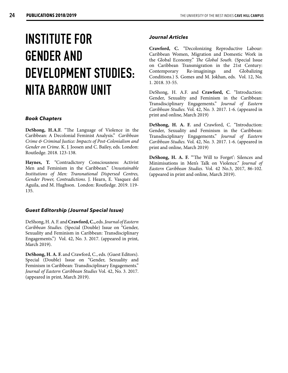# **INSTITUTE FOR GENDER AND DEVELOPMENT STUDIES: NITA BARROW UNIT**

#### *Book Chapters*

**DeShong, H.A.F.** "The Language of Violence in the Caribbean: A Decolonial Feminist Analysis." *Caribbean Crime & Criminal Justice: Impacts of Post-Colonialism and Gender on Crime*. K. J. Joosen and C. Bailey, eds. London: Routledge. 2018. 123-138.

Haynes, T. "Contradictory Consciousness: Activist Men and Feminism in the Caribbean." *Unsustainable Institutions of Men: Transnational Dispersed Centres, Gender Power, Contradictions*. J. Hearn, E. Vasquez del Aguila, and M. Hughson. London: Routledge. 2019. 119- 135.

#### *Guest Editorship (Journal Special Issue)*

DeShong, H. A. F. and **Crawford, C.,** eds. *Journal of Eastern Caribbean Studies.* (Special (Double) Issue on "Gender, Sexuality and Feminism in Caribbean: Transdisciplinary Engagements.") Vol. 42, No. 3. 2017. (appeared in print, March 2019).

**DeShong, H. A. F.** and Crawford, C., eds. (Guest Editors). Special (Double) Issue on "Gender, Sexuality and Feminism in Caribbean: Transdisciplinary Engagements." *Journal of Eastern Caribbean Studies* Vol. 42, No. 3. 2017. (appeared in print, March 2019).

#### *Journal Articles*

**Crawford, C.** "Decolonizing Reproductive Labour: Caribbean Women, Migration and Domestic Work in the Global Economy." *The Global South.* (Special Issue on Caribbean Transmigration in the 21st Century: Contemporary Re-imaginings and Globalizing Conditions.) S. Gomes and M. Jokhan, eds. Vol. 12, No. 1. 2018. 33-55.

DeShong, H. A.F. and **Crawford, C**. "Introduction: Gender, Sexuality and Feminism in the Caribbean: Transdisciplinary Engagements." *Journal of Eastern Caribbean Studies.* Vol. 42, No. 3. 2017. 1-6. (appeared in print and online, March 2019)

**DeShong, H. A. F.** and Crawford, C. "Introduction: Gender, Sexuality and Feminism in the Caribbean: Transdisciplinary Engagements." *Journal of Eastern Caribbean Studies.* Vol. 42, No. 3. 2017. 1-6. (appeared in print and online, March 2019)

**DeShong, H. A. F.** "'The Will to Forget': Silences and Minimisations in Men's Talk on Violence." *Journal of Eastern Caribbean Studies.* Vol. 42 No.3, 2017, 86-102. (appeared in print and online, March 2019).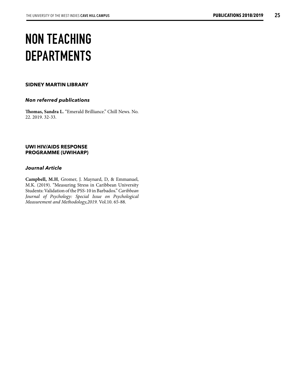# **NON TEACHING DEPARTMENTS**

#### **SIDNEY MARTIN LIBRARY**

#### *Non referred publications*

**Thomas, Sandra L.** "Emerald Brilliance." Chill News. No. 22. 2019. 32-33.

#### **UWI HIV/AIDS RESPONSE PROGRAMME (UWIHARP)**

#### *Journal Article*

**Campbell, M.H**, Gromer, J. Maynard, D, & Emmanuel, M.K. (2019). "Measuring Stress in Caribbean University Students: Validation of the PSS-10 in Barbados." *Caribbean Journal of Psychology: Special Issue on Psychological Measurement and Methodology,2019.* Vol.10. 65-88.